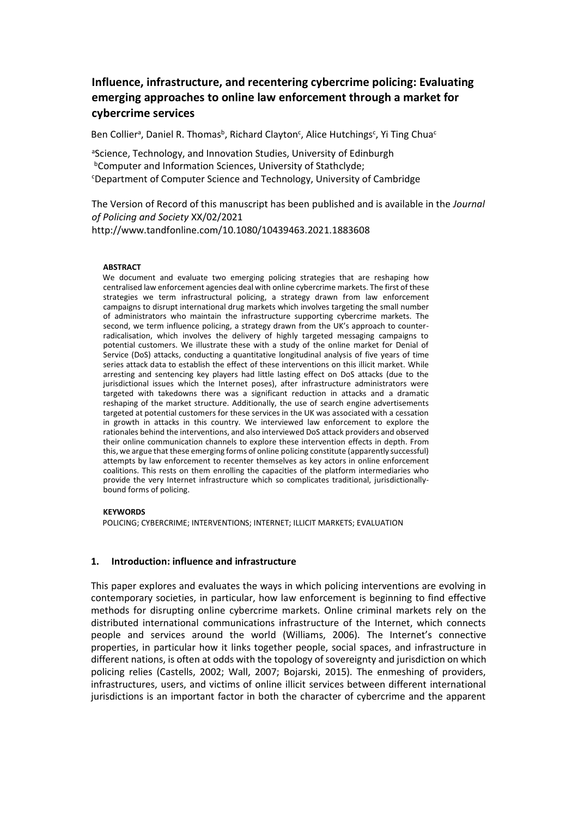# **Influence, infrastructure, and recentering cybercrime policing: Evaluating emerging approaches to online law enforcement through a market for cybercrime services**

Ben Collier<sup>a</sup>, Daniel R. Thomas<sup>b</sup>, Richard Clayton<sup>c</sup>, Alice Hutchings<sup>c</sup>, Yi Ting Chua<sup>c</sup>

aScience, Technology, and Innovation Studies, University of Edinburgh **bComputer and Information Sciences, University of Stathclyde:** <sup>c</sup>Department of Computer Science and Technology, University of Cambridge

The Version of Record of this manuscript has been published and is available in the *Journal of Policing and Society* XX/02/2021 http://www.tandfonline.com/10.1080/10439463.2021.1883608

#### **ABSTRACT**

We document and evaluate two emerging policing strategies that are reshaping how centralised law enforcement agencies deal with online cybercrime markets. The first of these strategies we term infrastructural policing, a strategy drawn from law enforcement campaigns to disrupt international drug markets which involves targeting the small number of administrators who maintain the infrastructure supporting cybercrime markets. The second, we term influence policing, a strategy drawn from the UK's approach to counterradicalisation, which involves the delivery of highly targeted messaging campaigns to potential customers. We illustrate these with a study of the online market for Denial of Service (DoS) attacks, conducting a quantitative longitudinal analysis of five years of time series attack data to establish the effect of these interventions on this illicit market. While arresting and sentencing key players had little lasting effect on DoS attacks (due to the jurisdictional issues which the Internet poses), after infrastructure administrators were targeted with takedowns there was a significant reduction in attacks and a dramatic reshaping of the market structure. Additionally, the use of search engine advertisements targeted at potential customers for these services in the UK was associated with a cessation in growth in attacks in this country. We interviewed law enforcement to explore the rationales behind the interventions, and also interviewed DoS attack providers and observed their online communication channels to explore these intervention effects in depth. From this, we argue that these emerging forms of online policing constitute (apparently successful) attempts by law enforcement to recenter themselves as key actors in online enforcement coalitions. This rests on them enrolling the capacities of the platform intermediaries who provide the very Internet infrastructure which so complicates traditional, jurisdictionallybound forms of policing.

#### **KEYWORDS**

POLICING; CYBERCRIME; INTERVENTIONS; INTERNET; ILLICIT MARKETS; EVALUATION

#### **1. Introduction: influence and infrastructure**

This paper explores and evaluates the ways in which policing interventions are evolving in contemporary societies, in particular, how law enforcement is beginning to find effective methods for disrupting online cybercrime markets. Online criminal markets rely on the distributed international communications infrastructure of the Internet, which connects people and services around the world (Williams, 2006). The Internet's connective properties, in particular how it links together people, social spaces, and infrastructure in different nations, is often at odds with the topology of sovereignty and jurisdiction on which policing relies (Castells, 2002; Wall, 2007; Bojarski, 2015). The enmeshing of providers, infrastructures, users, and victims of online illicit services between different international jurisdictions is an important factor in both the character of cybercrime and the apparent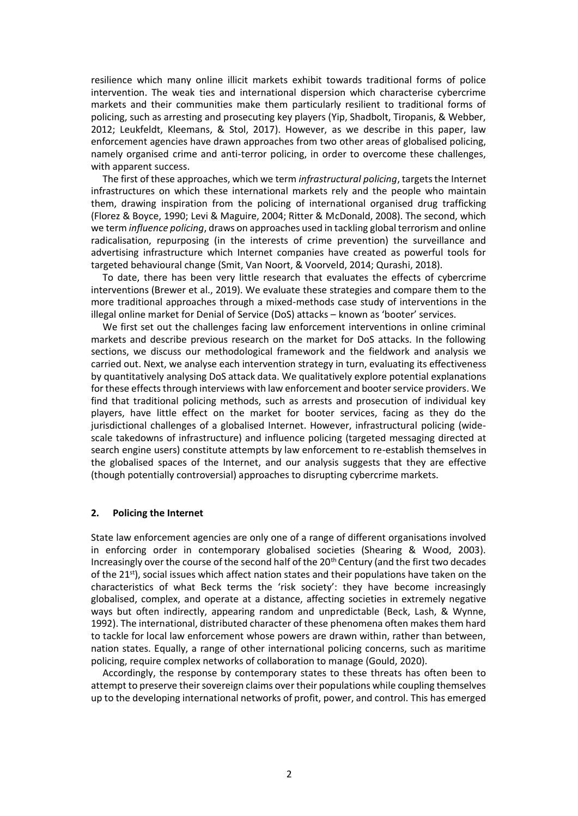resilience which many online illicit markets exhibit towards traditional forms of police intervention. The weak ties and international dispersion which characterise cybercrime markets and their communities make them particularly resilient to traditional forms of policing, such as arresting and prosecuting key players (Yip, Shadbolt, Tiropanis, & Webber, 2012; Leukfeldt, Kleemans, & Stol, 2017). However, as we describe in this paper, law enforcement agencies have drawn approaches from two other areas of globalised policing, namely organised crime and anti-terror policing, in order to overcome these challenges, with apparent success.

The first of these approaches, which we term *infrastructural policing*, targets the Internet infrastructures on which these international markets rely and the people who maintain them, drawing inspiration from the policing of international organised drug trafficking (Florez & Boyce, 1990; Levi & Maguire, 2004; Ritter & McDonald, 2008). The second, which we term *influence policing*, draws on approaches used in tackling global terrorism and online radicalisation, repurposing (in the interests of crime prevention) the surveillance and advertising infrastructure which Internet companies have created as powerful tools for targeted behavioural change (Smit, Van Noort, & Voorveld, 2014; Qurashi, 2018).

To date, there has been very little research that evaluates the effects of cybercrime interventions (Brewer et al., 2019). We evaluate these strategies and compare them to the more traditional approaches through a mixed-methods case study of interventions in the illegal online market for Denial of Service (DoS) attacks – known as 'booter' services.

We first set out the challenges facing law enforcement interventions in online criminal markets and describe previous research on the market for DoS attacks. In the following sections, we discuss our methodological framework and the fieldwork and analysis we carried out. Next, we analyse each intervention strategy in turn, evaluating its effectiveness by quantitatively analysing DoS attack data. We qualitatively explore potential explanations for these effects through interviews with law enforcement and booter service providers. We find that traditional policing methods, such as arrests and prosecution of individual key players, have little effect on the market for booter services, facing as they do the jurisdictional challenges of a globalised Internet. However, infrastructural policing (widescale takedowns of infrastructure) and influence policing (targeted messaging directed at search engine users) constitute attempts by law enforcement to re-establish themselves in the globalised spaces of the Internet, and our analysis suggests that they are effective (though potentially controversial) approaches to disrupting cybercrime markets.

### **2. Policing the Internet**

State law enforcement agencies are only one of a range of different organisations involved in enforcing order in contemporary globalised societies (Shearing & Wood, 2003). Increasingly over the course of the second half of the 20<sup>th</sup> Century (and the first two decades of the 21st), social issues which affect nation states and their populations have taken on the characteristics of what Beck terms the 'risk society': they have become increasingly globalised, complex, and operate at a distance, affecting societies in extremely negative ways but often indirectly, appearing random and unpredictable (Beck, Lash, & Wynne, 1992). The international, distributed character of these phenomena often makes them hard to tackle for local law enforcement whose powers are drawn within, rather than between, nation states. Equally, a range of other international policing concerns, such as maritime policing, require complex networks of collaboration to manage (Gould, 2020).

Accordingly, the response by contemporary states to these threats has often been to attempt to preserve their sovereign claims over their populations while coupling themselves up to the developing international networks of profit, power, and control. This has emerged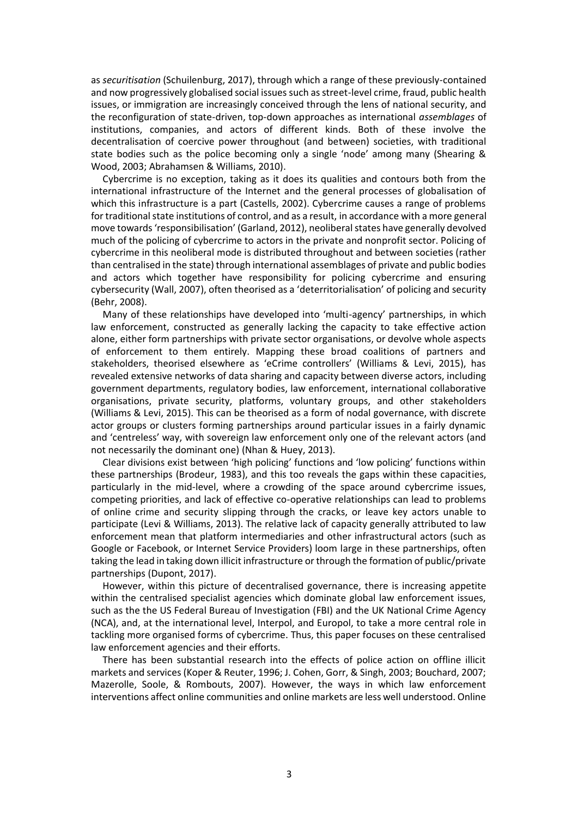as *securitisation* (Schuilenburg, 2017), through which a range of these previously-contained and now progressively globalised social issues such as street-level crime, fraud, public health issues, or immigration are increasingly conceived through the lens of national security, and the reconfiguration of state-driven, top-down approaches as international *assemblages* of institutions, companies, and actors of different kinds. Both of these involve the decentralisation of coercive power throughout (and between) societies, with traditional state bodies such as the police becoming only a single 'node' among many (Shearing & Wood, 2003; Abrahamsen & Williams, 2010).

Cybercrime is no exception, taking as it does its qualities and contours both from the international infrastructure of the Internet and the general processes of globalisation of which this infrastructure is a part (Castells, 2002). Cybercrime causes a range of problems for traditional state institutions of control, and as a result, in accordance with a more general move towards 'responsibilisation' (Garland, 2012), neoliberal states have generally devolved much of the policing of cybercrime to actors in the private and nonprofit sector. Policing of cybercrime in this neoliberal mode is distributed throughout and between societies (rather than centralised in the state) through international assemblages of private and public bodies and actors which together have responsibility for policing cybercrime and ensuring cybersecurity (Wall, 2007), often theorised as a 'deterritorialisation' of policing and security (Behr, 2008).

Many of these relationships have developed into 'multi-agency' partnerships, in which law enforcement, constructed as generally lacking the capacity to take effective action alone, either form partnerships with private sector organisations, or devolve whole aspects of enforcement to them entirely. Mapping these broad coalitions of partners and stakeholders, theorised elsewhere as 'eCrime controllers' (Williams & Levi, 2015), has revealed extensive networks of data sharing and capacity between diverse actors, including government departments, regulatory bodies, law enforcement, international collaborative organisations, private security, platforms, voluntary groups, and other stakeholders (Williams & Levi, 2015). This can be theorised as a form of nodal governance, with discrete actor groups or clusters forming partnerships around particular issues in a fairly dynamic and 'centreless' way, with sovereign law enforcement only one of the relevant actors (and not necessarily the dominant one) (Nhan & Huey, 2013).

Clear divisions exist between 'high policing' functions and 'low policing' functions within these partnerships (Brodeur, 1983), and this too reveals the gaps within these capacities, particularly in the mid-level, where a crowding of the space around cybercrime issues, competing priorities, and lack of effective co-operative relationships can lead to problems of online crime and security slipping through the cracks, or leave key actors unable to participate (Levi & Williams, 2013). The relative lack of capacity generally attributed to law enforcement mean that platform intermediaries and other infrastructural actors (such as Google or Facebook, or Internet Service Providers) loom large in these partnerships, often taking the lead in taking down illicit infrastructure or through the formation of public/private partnerships (Dupont, 2017).

However, within this picture of decentralised governance, there is increasing appetite within the centralised specialist agencies which dominate global law enforcement issues, such as the the US Federal Bureau of Investigation (FBI) and the UK National Crime Agency (NCA), and, at the international level, Interpol, and Europol, to take a more central role in tackling more organised forms of cybercrime. Thus, this paper focuses on these centralised law enforcement agencies and their efforts.

There has been substantial research into the effects of police action on offline illicit markets and services (Koper & Reuter, 1996; J. Cohen, Gorr, & Singh, 2003; Bouchard, 2007; Mazerolle, Soole, & Rombouts, 2007). However, the ways in which law enforcement interventions affect online communities and online markets are less well understood. Online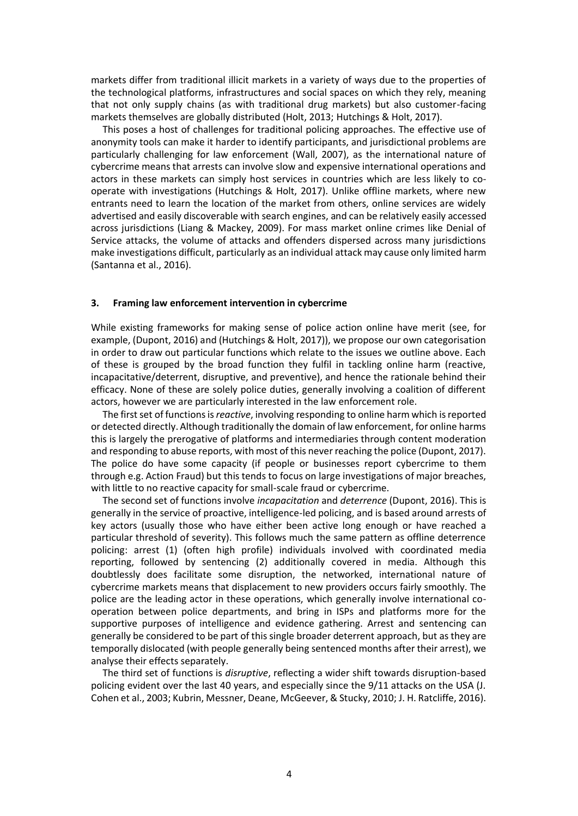markets differ from traditional illicit markets in a variety of ways due to the properties of the technological platforms, infrastructures and social spaces on which they rely, meaning that not only supply chains (as with traditional drug markets) but also customer-facing markets themselves are globally distributed (Holt, 2013; Hutchings & Holt, 2017).

This poses a host of challenges for traditional policing approaches. The effective use of anonymity tools can make it harder to identify participants, and jurisdictional problems are particularly challenging for law enforcement (Wall, 2007), as the international nature of cybercrime means that arrests can involve slow and expensive international operations and actors in these markets can simply host services in countries which are less likely to cooperate with investigations (Hutchings & Holt, 2017). Unlike offline markets, where new entrants need to learn the location of the market from others, online services are widely advertised and easily discoverable with search engines, and can be relatively easily accessed across jurisdictions (Liang & Mackey, 2009). For mass market online crimes like Denial of Service attacks, the volume of attacks and offenders dispersed across many jurisdictions make investigations difficult, particularly as an individual attack may cause only limited harm (Santanna et al., 2016).

### **3. Framing law enforcement intervention in cybercrime**

While existing frameworks for making sense of police action online have merit (see, for example, (Dupont, 2016) and (Hutchings & Holt, 2017)), we propose our own categorisation in order to draw out particular functions which relate to the issues we outline above. Each of these is grouped by the broad function they fulfil in tackling online harm (reactive, incapacitative/deterrent, disruptive, and preventive), and hence the rationale behind their efficacy. None of these are solely police duties, generally involving a coalition of different actors, however we are particularly interested in the law enforcement role.

The first set of functions is *reactive*, involving responding to online harm which is reported or detected directly. Although traditionally the domain of law enforcement, for online harms this is largely the prerogative of platforms and intermediaries through content moderation and responding to abuse reports, with most of this never reaching the police (Dupont, 2017). The police do have some capacity (if people or businesses report cybercrime to them through e.g. Action Fraud) but this tends to focus on large investigations of major breaches, with little to no reactive capacity for small-scale fraud or cybercrime.

The second set of functions involve *incapacitation* and *deterrence* (Dupont, 2016). This is generally in the service of proactive, intelligence-led policing, and is based around arrests of key actors (usually those who have either been active long enough or have reached a particular threshold of severity). This follows much the same pattern as offline deterrence policing: arrest (1) (often high profile) individuals involved with coordinated media reporting, followed by sentencing (2) additionally covered in media. Although this doubtlessly does facilitate some disruption, the networked, international nature of cybercrime markets means that displacement to new providers occurs fairly smoothly. The police are the leading actor in these operations, which generally involve international cooperation between police departments, and bring in ISPs and platforms more for the supportive purposes of intelligence and evidence gathering. Arrest and sentencing can generally be considered to be part of this single broader deterrent approach, but as they are temporally dislocated (with people generally being sentenced months after their arrest), we analyse their effects separately.

The third set of functions is *disruptive*, reflecting a wider shift towards disruption-based policing evident over the last 40 years, and especially since the 9/11 attacks on the USA (J. Cohen et al., 2003; Kubrin, Messner, Deane, McGeever, & Stucky, 2010; J. H. Ratcliffe, 2016).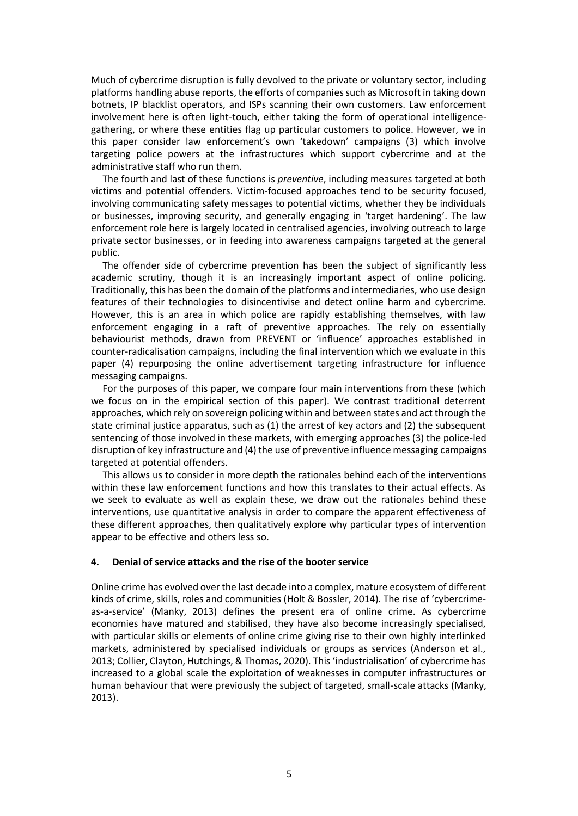Much of cybercrime disruption is fully devolved to the private or voluntary sector, including platforms handling abuse reports, the efforts of companies such as Microsoft in taking down botnets, IP blacklist operators, and ISPs scanning their own customers. Law enforcement involvement here is often light-touch, either taking the form of operational intelligencegathering, or where these entities flag up particular customers to police. However, we in this paper consider law enforcement's own 'takedown' campaigns (3) which involve targeting police powers at the infrastructures which support cybercrime and at the administrative staff who run them.

The fourth and last of these functions is *preventive*, including measures targeted at both victims and potential offenders. Victim-focused approaches tend to be security focused, involving communicating safety messages to potential victims, whether they be individuals or businesses, improving security, and generally engaging in 'target hardening'. The law enforcement role here is largely located in centralised agencies, involving outreach to large private sector businesses, or in feeding into awareness campaigns targeted at the general public.

The offender side of cybercrime prevention has been the subject of significantly less academic scrutiny, though it is an increasingly important aspect of online policing. Traditionally, this has been the domain of the platforms and intermediaries, who use design features of their technologies to disincentivise and detect online harm and cybercrime. However, this is an area in which police are rapidly establishing themselves, with law enforcement engaging in a raft of preventive approaches. The rely on essentially behaviourist methods, drawn from PREVENT or 'influence' approaches established in counter-radicalisation campaigns, including the final intervention which we evaluate in this paper (4) repurposing the online advertisement targeting infrastructure for influence messaging campaigns.

For the purposes of this paper, we compare four main interventions from these (which we focus on in the empirical section of this paper). We contrast traditional deterrent approaches, which rely on sovereign policing within and between states and act through the state criminal justice apparatus, such as (1) the arrest of key actors and (2) the subsequent sentencing of those involved in these markets, with emerging approaches (3) the police-led disruption of key infrastructure and (4) the use of preventive influence messaging campaigns targeted at potential offenders.

This allows us to consider in more depth the rationales behind each of the interventions within these law enforcement functions and how this translates to their actual effects. As we seek to evaluate as well as explain these, we draw out the rationales behind these interventions, use quantitative analysis in order to compare the apparent effectiveness of these different approaches, then qualitatively explore why particular types of intervention appear to be effective and others less so.

### **4. Denial of service attacks and the rise of the booter service**

Online crime has evolved over the last decade into a complex, mature ecosystem of different kinds of crime, skills, roles and communities (Holt & Bossler, 2014). The rise of 'cybercrimeas-a-service' (Manky, 2013) defines the present era of online crime. As cybercrime economies have matured and stabilised, they have also become increasingly specialised, with particular skills or elements of online crime giving rise to their own highly interlinked markets, administered by specialised individuals or groups as services (Anderson et al., 2013; Collier, Clayton, Hutchings, & Thomas, 2020). This 'industrialisation' of cybercrime has increased to a global scale the exploitation of weaknesses in computer infrastructures or human behaviour that were previously the subject of targeted, small-scale attacks (Manky, 2013).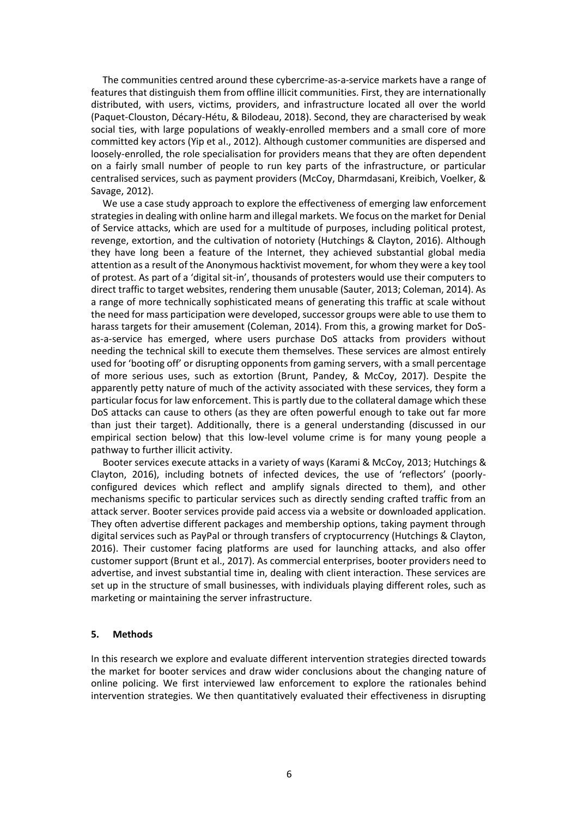The communities centred around these cybercrime-as-a-service markets have a range of features that distinguish them from offline illicit communities. First, they are internationally distributed, with users, victims, providers, and infrastructure located all over the world (Paquet-Clouston, Décary-Hétu, & Bilodeau, 2018). Second, they are characterised by weak social ties, with large populations of weakly-enrolled members and a small core of more committed key actors (Yip et al., 2012). Although customer communities are dispersed and loosely-enrolled, the role specialisation for providers means that they are often dependent on a fairly small number of people to run key parts of the infrastructure, or particular centralised services, such as payment providers (McCoy, Dharmdasani, Kreibich, Voelker, & Savage, 2012).

We use a case study approach to explore the effectiveness of emerging law enforcement strategies in dealing with online harm and illegal markets. We focus on the market for Denial of Service attacks, which are used for a multitude of purposes, including political protest, revenge, extortion, and the cultivation of notoriety (Hutchings & Clayton, 2016). Although they have long been a feature of the Internet, they achieved substantial global media attention as a result of the Anonymous hacktivist movement, for whom they were a key tool of protest. As part of a 'digital sit-in', thousands of protesters would use their computers to direct traffic to target websites, rendering them unusable (Sauter, 2013; Coleman, 2014). As a range of more technically sophisticated means of generating this traffic at scale without the need for mass participation were developed, successor groups were able to use them to harass targets for their amusement (Coleman, 2014). From this, a growing market for DoSas-a-service has emerged, where users purchase DoS attacks from providers without needing the technical skill to execute them themselves. These services are almost entirely used for 'booting off' or disrupting opponents from gaming servers, with a small percentage of more serious uses, such as extortion (Brunt, Pandey, & McCoy, 2017). Despite the apparently petty nature of much of the activity associated with these services, they form a particular focus for law enforcement. This is partly due to the collateral damage which these DoS attacks can cause to others (as they are often powerful enough to take out far more than just their target). Additionally, there is a general understanding (discussed in our empirical section below) that this low-level volume crime is for many young people a pathway to further illicit activity.

Booter services execute attacks in a variety of ways (Karami & McCoy, 2013; Hutchings & Clayton, 2016), including botnets of infected devices, the use of 'reflectors' (poorlyconfigured devices which reflect and amplify signals directed to them), and other mechanisms specific to particular services such as directly sending crafted traffic from an attack server. Booter services provide paid access via a website or downloaded application. They often advertise different packages and membership options, taking payment through digital services such as PayPal or through transfers of cryptocurrency (Hutchings & Clayton, 2016). Their customer facing platforms are used for launching attacks, and also offer customer support (Brunt et al., 2017). As commercial enterprises, booter providers need to advertise, and invest substantial time in, dealing with client interaction. These services are set up in the structure of small businesses, with individuals playing different roles, such as marketing or maintaining the server infrastructure.

# **5. Methods**

In this research we explore and evaluate different intervention strategies directed towards the market for booter services and draw wider conclusions about the changing nature of online policing. We first interviewed law enforcement to explore the rationales behind intervention strategies. We then quantitatively evaluated their effectiveness in disrupting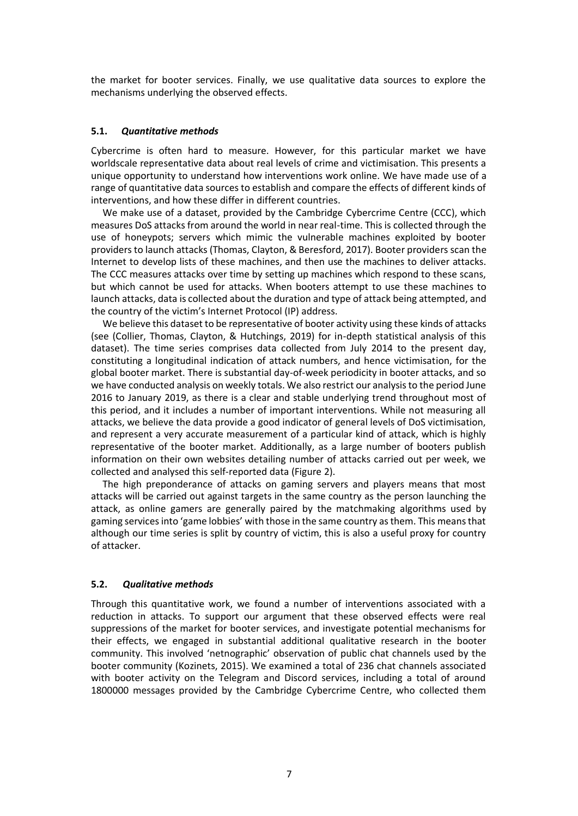the market for booter services. Finally, we use qualitative data sources to explore the mechanisms underlying the observed effects.

### **5.1.** *Quantitative methods*

Cybercrime is often hard to measure. However, for this particular market we have worldscale representative data about real levels of crime and victimisation. This presents a unique opportunity to understand how interventions work online. We have made use of a range of quantitative data sources to establish and compare the effects of different kinds of interventions, and how these differ in different countries.

We make use of a dataset, provided by the Cambridge Cybercrime Centre (CCC), which measures DoS attacks from around the world in near real-time. This is collected through the use of honeypots; servers which mimic the vulnerable machines exploited by booter providers to launch attacks (Thomas, Clayton, & Beresford, 2017). Booter providers scan the Internet to develop lists of these machines, and then use the machines to deliver attacks. The CCC measures attacks over time by setting up machines which respond to these scans, but which cannot be used for attacks. When booters attempt to use these machines to launch attacks, data is collected about the duration and type of attack being attempted, and the country of the victim's Internet Protocol (IP) address.

We believe this dataset to be representative of booter activity using these kinds of attacks (see (Collier, Thomas, Clayton, & Hutchings, 2019) for in-depth statistical analysis of this dataset). The time series comprises data collected from July 2014 to the present day, constituting a longitudinal indication of attack numbers, and hence victimisation, for the global booter market. There is substantial day-of-week periodicity in booter attacks, and so we have conducted analysis on weekly totals. We also restrict our analysis to the period June 2016 to January 2019, as there is a clear and stable underlying trend throughout most of this period, and it includes a number of important interventions. While not measuring all attacks, we believe the data provide a good indicator of general levels of DoS victimisation, and represent a very accurate measurement of a particular kind of attack, which is highly representative of the booter market. Additionally, as a large number of booters publish information on their own websites detailing number of attacks carried out per week, we collected and analysed this self-reported data (Figure 2).

The high preponderance of attacks on gaming servers and players means that most attacks will be carried out against targets in the same country as the person launching the attack, as online gamers are generally paired by the matchmaking algorithms used by gaming services into 'game lobbies' with those in the same country as them. This means that although our time series is split by country of victim, this is also a useful proxy for country of attacker.

# **5.2.** *Qualitative methods*

Through this quantitative work, we found a number of interventions associated with a reduction in attacks. To support our argument that these observed effects were real suppressions of the market for booter services, and investigate potential mechanisms for their effects, we engaged in substantial additional qualitative research in the booter community. This involved 'netnographic' observation of public chat channels used by the booter community (Kozinets, 2015). We examined a total of 236 chat channels associated with booter activity on the Telegram and Discord services, including a total of around 1800000 messages provided by the Cambridge Cybercrime Centre, who collected them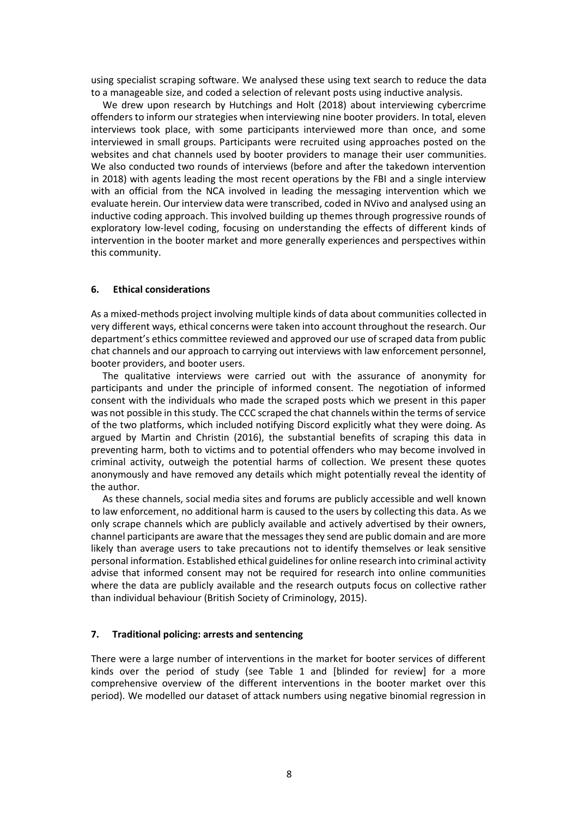using specialist scraping software. We analysed these using text search to reduce the data to a manageable size, and coded a selection of relevant posts using inductive analysis.

We drew upon research by Hutchings and Holt (2018) about interviewing cybercrime offenders to inform our strategies when interviewing nine booter providers. In total, eleven interviews took place, with some participants interviewed more than once, and some interviewed in small groups. Participants were recruited using approaches posted on the websites and chat channels used by booter providers to manage their user communities. We also conducted two rounds of interviews (before and after the takedown intervention in 2018) with agents leading the most recent operations by the FBI and a single interview with an official from the NCA involved in leading the messaging intervention which we evaluate herein. Our interview data were transcribed, coded in NVivo and analysed using an inductive coding approach. This involved building up themes through progressive rounds of exploratory low-level coding, focusing on understanding the effects of different kinds of intervention in the booter market and more generally experiences and perspectives within this community.

#### **6. Ethical considerations**

As a mixed-methods project involving multiple kinds of data about communities collected in very different ways, ethical concerns were taken into account throughout the research. Our department's ethics committee reviewed and approved our use of scraped data from public chat channels and our approach to carrying out interviews with law enforcement personnel, booter providers, and booter users.

The qualitative interviews were carried out with the assurance of anonymity for participants and under the principle of informed consent. The negotiation of informed consent with the individuals who made the scraped posts which we present in this paper was not possible in this study. The CCC scraped the chat channels within the terms of service of the two platforms, which included notifying Discord explicitly what they were doing. As argued by Martin and Christin (2016), the substantial benefits of scraping this data in preventing harm, both to victims and to potential offenders who may become involved in criminal activity, outweigh the potential harms of collection. We present these quotes anonymously and have removed any details which might potentially reveal the identity of the author.

As these channels, social media sites and forums are publicly accessible and well known to law enforcement, no additional harm is caused to the users by collecting this data. As we only scrape channels which are publicly available and actively advertised by their owners, channel participants are aware that the messages they send are public domain and are more likely than average users to take precautions not to identify themselves or leak sensitive personal information. Established ethical guidelines for online research into criminal activity advise that informed consent may not be required for research into online communities where the data are publicly available and the research outputs focus on collective rather than individual behaviour (British Society of Criminology, 2015).

#### **7. Traditional policing: arrests and sentencing**

There were a large number of interventions in the market for booter services of different kinds over the period of study (see Table 1 and [blinded for review] for a more comprehensive overview of the different interventions in the booter market over this period). We modelled our dataset of attack numbers using negative binomial regression in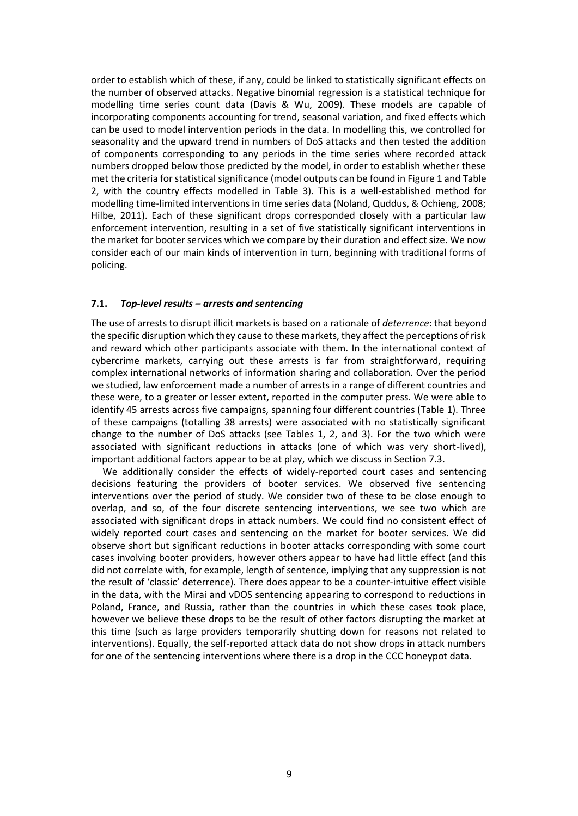order to establish which of these, if any, could be linked to statistically significant effects on the number of observed attacks. Negative binomial regression is a statistical technique for modelling time series count data (Davis & Wu, 2009). These models are capable of incorporating components accounting for trend, seasonal variation, and fixed effects which can be used to model intervention periods in the data. In modelling this, we controlled for seasonality and the upward trend in numbers of DoS attacks and then tested the addition of components corresponding to any periods in the time series where recorded attack numbers dropped below those predicted by the model, in order to establish whether these met the criteria for statistical significance (model outputs can be found in Figure 1 and Table 2, with the country effects modelled in Table 3). This is a well-established method for modelling time-limited interventions in time series data (Noland, Quddus, & Ochieng, 2008; Hilbe, 2011). Each of these significant drops corresponded closely with a particular law enforcement intervention, resulting in a set of five statistically significant interventions in the market for booter services which we compare by their duration and effect size. We now consider each of our main kinds of intervention in turn, beginning with traditional forms of policing.

# **7.1.** *Top-level results – arrests and sentencing*

The use of arrests to disrupt illicit markets is based on a rationale of *deterrence*: that beyond the specific disruption which they cause to these markets, they affect the perceptions of risk and reward which other participants associate with them. In the international context of cybercrime markets, carrying out these arrests is far from straightforward, requiring complex international networks of information sharing and collaboration. Over the period we studied, law enforcement made a number of arrests in a range of different countries and these were, to a greater or lesser extent, reported in the computer press. We were able to identify 45 arrests across five campaigns, spanning four different countries (Table 1). Three of these campaigns (totalling 38 arrests) were associated with no statistically significant change to the number of DoS attacks (see Tables 1, 2, and 3). For the two which were associated with significant reductions in attacks (one of which was very short-lived), important additional factors appear to be at play, which we discuss in Section 7.3.

We additionally consider the effects of widely-reported court cases and sentencing decisions featuring the providers of booter services. We observed five sentencing interventions over the period of study. We consider two of these to be close enough to overlap, and so, of the four discrete sentencing interventions, we see two which are associated with significant drops in attack numbers. We could find no consistent effect of widely reported court cases and sentencing on the market for booter services. We did observe short but significant reductions in booter attacks corresponding with some court cases involving booter providers, however others appear to have had little effect (and this did not correlate with, for example, length of sentence, implying that any suppression is not the result of 'classic' deterrence). There does appear to be a counter-intuitive effect visible in the data, with the Mirai and vDOS sentencing appearing to correspond to reductions in Poland, France, and Russia, rather than the countries in which these cases took place, however we believe these drops to be the result of other factors disrupting the market at this time (such as large providers temporarily shutting down for reasons not related to interventions). Equally, the self-reported attack data do not show drops in attack numbers for one of the sentencing interventions where there is a drop in the CCC honeypot data.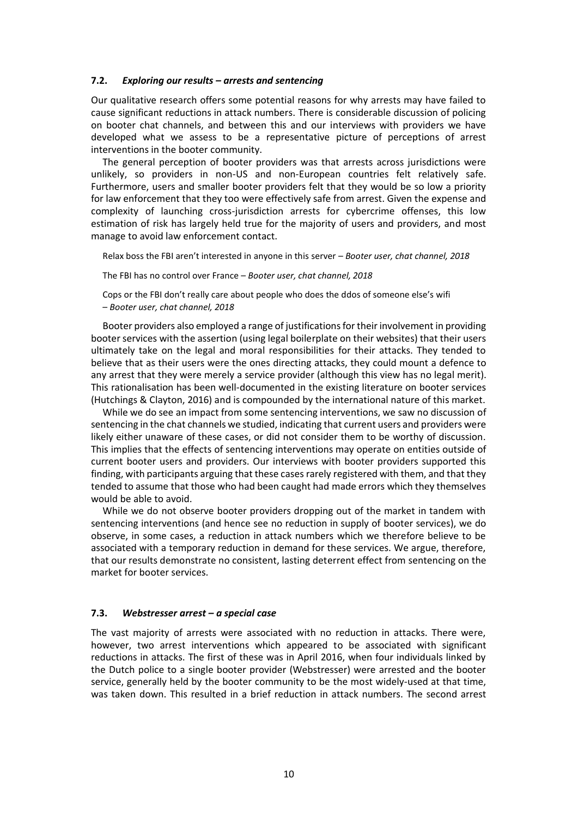### **7.2.** *Exploring our results – arrests and sentencing*

Our qualitative research offers some potential reasons for why arrests may have failed to cause significant reductions in attack numbers. There is considerable discussion of policing on booter chat channels, and between this and our interviews with providers we have developed what we assess to be a representative picture of perceptions of arrest interventions in the booter community.

The general perception of booter providers was that arrests across jurisdictions were unlikely, so providers in non-US and non-European countries felt relatively safe. Furthermore, users and smaller booter providers felt that they would be so low a priority for law enforcement that they too were effectively safe from arrest. Given the expense and complexity of launching cross-jurisdiction arrests for cybercrime offenses, this low estimation of risk has largely held true for the majority of users and providers, and most manage to avoid law enforcement contact.

Relax boss the FBI aren't interested in anyone in this server – *Booter user, chat channel, 2018*

The FBI has no control over France – *Booter user, chat channel, 2018*

Cops or the FBI don't really care about people who does the ddos of someone else's wifi – *Booter user, chat channel, 2018*

Booter providers also employed a range of justifications for their involvement in providing booter services with the assertion (using legal boilerplate on their websites) that their users ultimately take on the legal and moral responsibilities for their attacks. They tended to believe that as their users were the ones directing attacks, they could mount a defence to any arrest that they were merely a service provider (although this view has no legal merit). This rationalisation has been well-documented in the existing literature on booter services (Hutchings & Clayton, 2016) and is compounded by the international nature of this market.

While we do see an impact from some sentencing interventions, we saw no discussion of sentencing in the chat channels we studied, indicating that current users and providers were likely either unaware of these cases, or did not consider them to be worthy of discussion. This implies that the effects of sentencing interventions may operate on entities outside of current booter users and providers. Our interviews with booter providers supported this finding, with participants arguing that these cases rarely registered with them, and that they tended to assume that those who had been caught had made errors which they themselves would be able to avoid.

While we do not observe booter providers dropping out of the market in tandem with sentencing interventions (and hence see no reduction in supply of booter services), we do observe, in some cases, a reduction in attack numbers which we therefore believe to be associated with a temporary reduction in demand for these services. We argue, therefore, that our results demonstrate no consistent, lasting deterrent effect from sentencing on the market for booter services.

### **7.3.** *Webstresser arrest – a special case*

The vast majority of arrests were associated with no reduction in attacks. There were, however, two arrest interventions which appeared to be associated with significant reductions in attacks. The first of these was in April 2016, when four individuals linked by the Dutch police to a single booter provider (Webstresser) were arrested and the booter service, generally held by the booter community to be the most widely-used at that time, was taken down. This resulted in a brief reduction in attack numbers. The second arrest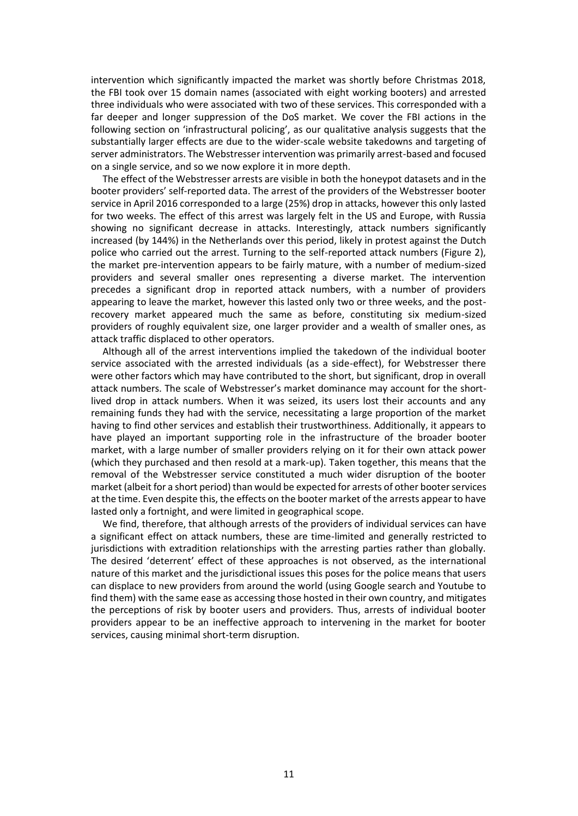intervention which significantly impacted the market was shortly before Christmas 2018, the FBI took over 15 domain names (associated with eight working booters) and arrested three individuals who were associated with two of these services. This corresponded with a far deeper and longer suppression of the DoS market. We cover the FBI actions in the following section on 'infrastructural policing', as our qualitative analysis suggests that the substantially larger effects are due to the wider-scale website takedowns and targeting of server administrators. The Webstresser intervention was primarily arrest-based and focused on a single service, and so we now explore it in more depth.

The effect of the Webstresser arrests are visible in both the honeypot datasets and in the booter providers' self-reported data. The arrest of the providers of the Webstresser booter service in April 2016 corresponded to a large (25%) drop in attacks, however this only lasted for two weeks. The effect of this arrest was largely felt in the US and Europe, with Russia showing no significant decrease in attacks. Interestingly, attack numbers significantly increased (by 144%) in the Netherlands over this period, likely in protest against the Dutch police who carried out the arrest. Turning to the self-reported attack numbers (Figure 2), the market pre-intervention appears to be fairly mature, with a number of medium-sized providers and several smaller ones representing a diverse market. The intervention precedes a significant drop in reported attack numbers, with a number of providers appearing to leave the market, however this lasted only two or three weeks, and the postrecovery market appeared much the same as before, constituting six medium-sized providers of roughly equivalent size, one larger provider and a wealth of smaller ones, as attack traffic displaced to other operators.

Although all of the arrest interventions implied the takedown of the individual booter service associated with the arrested individuals (as a side-effect), for Webstresser there were other factors which may have contributed to the short, but significant, drop in overall attack numbers. The scale of Webstresser's market dominance may account for the shortlived drop in attack numbers. When it was seized, its users lost their accounts and any remaining funds they had with the service, necessitating a large proportion of the market having to find other services and establish their trustworthiness. Additionally, it appears to have played an important supporting role in the infrastructure of the broader booter market, with a large number of smaller providers relying on it for their own attack power (which they purchased and then resold at a mark-up). Taken together, this means that the removal of the Webstresser service constituted a much wider disruption of the booter market (albeit for a short period) than would be expected for arrests of other booter services at the time. Even despite this, the effects on the booter market of the arrests appear to have lasted only a fortnight, and were limited in geographical scope.

We find, therefore, that although arrests of the providers of individual services can have a significant effect on attack numbers, these are time-limited and generally restricted to jurisdictions with extradition relationships with the arresting parties rather than globally. The desired 'deterrent' effect of these approaches is not observed, as the international nature of this market and the jurisdictional issues this poses for the police means that users can displace to new providers from around the world (using Google search and Youtube to find them) with the same ease as accessing those hosted in their own country, and mitigates the perceptions of risk by booter users and providers. Thus, arrests of individual booter providers appear to be an ineffective approach to intervening in the market for booter services, causing minimal short-term disruption.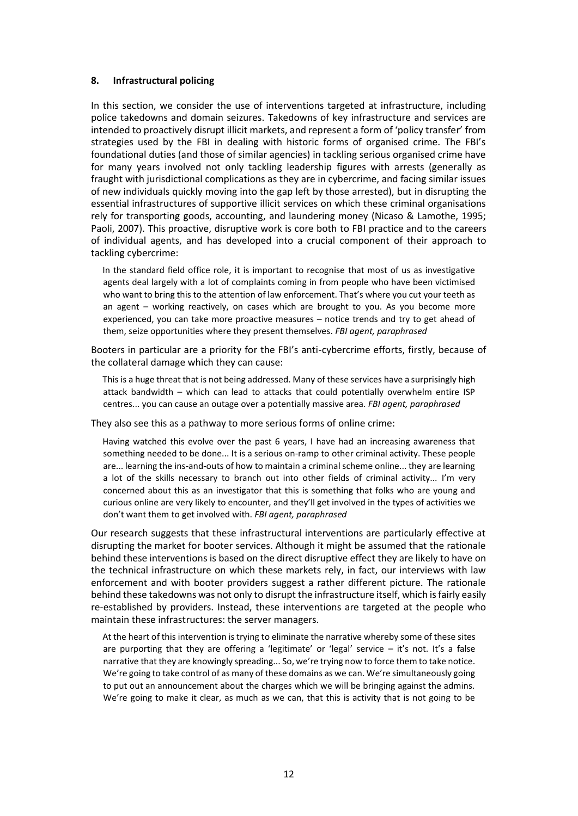### **8. Infrastructural policing**

In this section, we consider the use of interventions targeted at infrastructure, including police takedowns and domain seizures. Takedowns of key infrastructure and services are intended to proactively disrupt illicit markets, and represent a form of 'policy transfer' from strategies used by the FBI in dealing with historic forms of organised crime. The FBI's foundational duties (and those of similar agencies) in tackling serious organised crime have for many years involved not only tackling leadership figures with arrests (generally as fraught with jurisdictional complications as they are in cybercrime, and facing similar issues of new individuals quickly moving into the gap left by those arrested), but in disrupting the essential infrastructures of supportive illicit services on which these criminal organisations rely for transporting goods, accounting, and laundering money (Nicaso & Lamothe, 1995; Paoli, 2007). This proactive, disruptive work is core both to FBI practice and to the careers of individual agents, and has developed into a crucial component of their approach to tackling cybercrime:

In the standard field office role, it is important to recognise that most of us as investigative agents deal largely with a lot of complaints coming in from people who have been victimised who want to bring this to the attention of law enforcement. That's where you cut your teeth as an agent – working reactively, on cases which are brought to you. As you become more experienced, you can take more proactive measures – notice trends and try to get ahead of them, seize opportunities where they present themselves. *FBI agent, paraphrased*

Booters in particular are a priority for the FBI's anti-cybercrime efforts, firstly, because of the collateral damage which they can cause:

This is a huge threat that is not being addressed. Many of these services have a surprisingly high attack bandwidth – which can lead to attacks that could potentially overwhelm entire ISP centres... you can cause an outage over a potentially massive area. *FBI agent, paraphrased*

They also see this as a pathway to more serious forms of online crime:

Having watched this evolve over the past 6 years, I have had an increasing awareness that something needed to be done... It is a serious on-ramp to other criminal activity. These people are... learning the ins-and-outs of how to maintain a criminal scheme online... they are learning a lot of the skills necessary to branch out into other fields of criminal activity... I'm very concerned about this as an investigator that this is something that folks who are young and curious online are very likely to encounter, and they'll get involved in the types of activities we don't want them to get involved with. *FBI agent, paraphrased*

Our research suggests that these infrastructural interventions are particularly effective at disrupting the market for booter services. Although it might be assumed that the rationale behind these interventions is based on the direct disruptive effect they are likely to have on the technical infrastructure on which these markets rely, in fact, our interviews with law enforcement and with booter providers suggest a rather different picture. The rationale behind these takedowns was not only to disrupt the infrastructure itself, which is fairly easily re-established by providers. Instead, these interventions are targeted at the people who maintain these infrastructures: the server managers.

At the heart of this intervention is trying to eliminate the narrative whereby some of these sites are purporting that they are offering a 'legitimate' or 'legal' service – it's not. It's a false narrative that they are knowingly spreading... So, we're trying now to force them to take notice. We're going to take control of as many of these domains as we can. We're simultaneously going to put out an announcement about the charges which we will be bringing against the admins. We're going to make it clear, as much as we can, that this is activity that is not going to be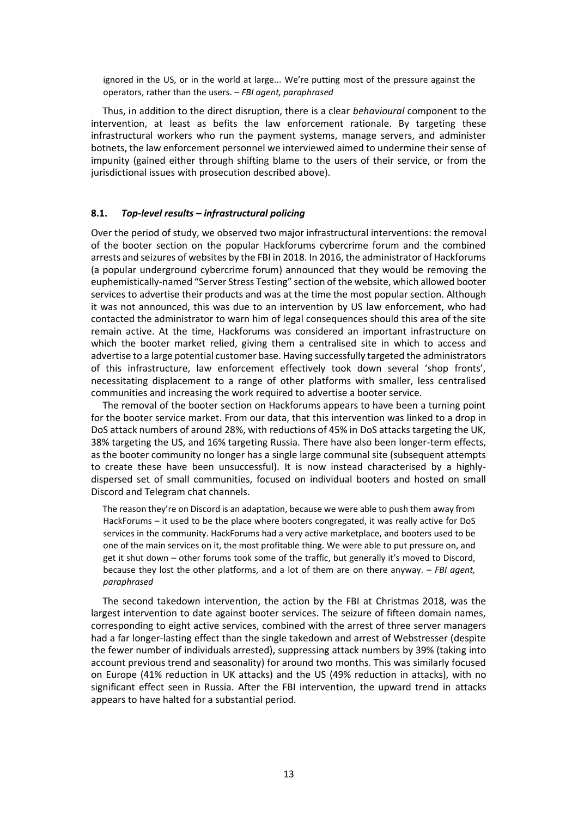ignored in the US, or in the world at large... We're putting most of the pressure against the operators, rather than the users. – *FBI agent, paraphrased*

Thus, in addition to the direct disruption, there is a clear *behavioural* component to the intervention, at least as befits the law enforcement rationale. By targeting these infrastructural workers who run the payment systems, manage servers, and administer botnets, the law enforcement personnel we interviewed aimed to undermine their sense of impunity (gained either through shifting blame to the users of their service, or from the jurisdictional issues with prosecution described above).

# **8.1.** *Top-level results – infrastructural policing*

Over the period of study, we observed two major infrastructural interventions: the removal of the booter section on the popular Hackforums cybercrime forum and the combined arrests and seizures of websites by the FBI in 2018. In 2016, the administrator of Hackforums (a popular underground cybercrime forum) announced that they would be removing the euphemistically-named "Server Stress Testing" section of the website, which allowed booter services to advertise their products and was at the time the most popular section. Although it was not announced, this was due to an intervention by US law enforcement, who had contacted the administrator to warn him of legal consequences should this area of the site remain active. At the time, Hackforums was considered an important infrastructure on which the booter market relied, giving them a centralised site in which to access and advertise to a large potential customer base. Having successfully targeted the administrators of this infrastructure, law enforcement effectively took down several 'shop fronts', necessitating displacement to a range of other platforms with smaller, less centralised communities and increasing the work required to advertise a booter service.

The removal of the booter section on Hackforums appears to have been a turning point for the booter service market. From our data, that this intervention was linked to a drop in DoS attack numbers of around 28%, with reductions of 45% in DoS attacks targeting the UK, 38% targeting the US, and 16% targeting Russia. There have also been longer-term effects, as the booter community no longer has a single large communal site (subsequent attempts to create these have been unsuccessful). It is now instead characterised by a highlydispersed set of small communities, focused on individual booters and hosted on small Discord and Telegram chat channels.

The reason they're on Discord is an adaptation, because we were able to push them away from HackForums – it used to be the place where booters congregated, it was really active for DoS services in the community. HackForums had a very active marketplace, and booters used to be one of the main services on it, the most profitable thing. We were able to put pressure on, and get it shut down – other forums took some of the traffic, but generally it's moved to Discord, because they lost the other platforms, and a lot of them are on there anyway. – *FBI agent, paraphrased*

The second takedown intervention, the action by the FBI at Christmas 2018, was the largest intervention to date against booter services. The seizure of fifteen domain names, corresponding to eight active services, combined with the arrest of three server managers had a far longer-lasting effect than the single takedown and arrest of Webstresser (despite the fewer number of individuals arrested), suppressing attack numbers by 39% (taking into account previous trend and seasonality) for around two months. This was similarly focused on Europe (41% reduction in UK attacks) and the US (49% reduction in attacks), with no significant effect seen in Russia. After the FBI intervention, the upward trend in attacks appears to have halted for a substantial period.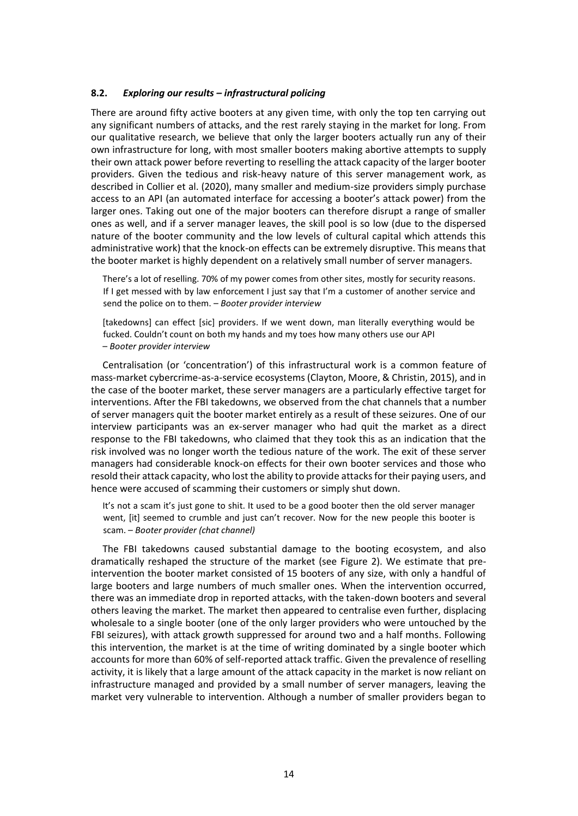### **8.2.** *Exploring our results – infrastructural policing*

There are around fifty active booters at any given time, with only the top ten carrying out any significant numbers of attacks, and the rest rarely staying in the market for long. From our qualitative research, we believe that only the larger booters actually run any of their own infrastructure for long, with most smaller booters making abortive attempts to supply their own attack power before reverting to reselling the attack capacity of the larger booter providers. Given the tedious and risk-heavy nature of this server management work, as described in Collier et al. (2020), many smaller and medium-size providers simply purchase access to an API (an automated interface for accessing a booter's attack power) from the larger ones. Taking out one of the major booters can therefore disrupt a range of smaller ones as well, and if a server manager leaves, the skill pool is so low (due to the dispersed nature of the booter community and the low levels of cultural capital which attends this administrative work) that the knock-on effects can be extremely disruptive. This means that the booter market is highly dependent on a relatively small number of server managers.

There's a lot of reselling. 70% of my power comes from other sites, mostly for security reasons. If I get messed with by law enforcement I just say that I'm a customer of another service and send the police on to them. – *Booter provider interview*

[takedowns] can effect [sic] providers. If we went down, man literally everything would be fucked. Couldn't count on both my hands and my toes how many others use our API – *Booter provider interview*

Centralisation (or 'concentration') of this infrastructural work is a common feature of mass-market cybercrime-as-a-service ecosystems (Clayton, Moore, & Christin, 2015), and in the case of the booter market, these server managers are a particularly effective target for interventions. After the FBI takedowns, we observed from the chat channels that a number of server managers quit the booter market entirely as a result of these seizures. One of our interview participants was an ex-server manager who had quit the market as a direct response to the FBI takedowns, who claimed that they took this as an indication that the risk involved was no longer worth the tedious nature of the work. The exit of these server managers had considerable knock-on effects for their own booter services and those who resold their attack capacity, who lost the ability to provide attacks for their paying users, and hence were accused of scamming their customers or simply shut down.

It's not a scam it's just gone to shit. It used to be a good booter then the old server manager went, [it] seemed to crumble and just can't recover. Now for the new people this booter is scam. – *Booter provider (chat channel)*

The FBI takedowns caused substantial damage to the booting ecosystem, and also dramatically reshaped the structure of the market (see Figure 2). We estimate that preintervention the booter market consisted of 15 booters of any size, with only a handful of large booters and large numbers of much smaller ones. When the intervention occurred, there was an immediate drop in reported attacks, with the taken-down booters and several others leaving the market. The market then appeared to centralise even further, displacing wholesale to a single booter (one of the only larger providers who were untouched by the FBI seizures), with attack growth suppressed for around two and a half months. Following this intervention, the market is at the time of writing dominated by a single booter which accounts for more than 60% of self-reported attack traffic. Given the prevalence of reselling activity, it is likely that a large amount of the attack capacity in the market is now reliant on infrastructure managed and provided by a small number of server managers, leaving the market very vulnerable to intervention. Although a number of smaller providers began to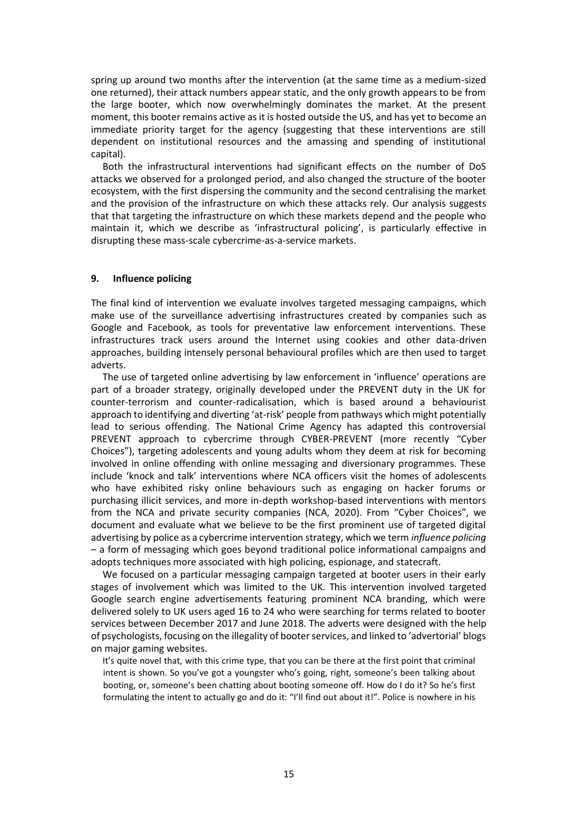spring up around two months after the intervention (at the same time as a medium-sized one returned), their attack numbers appear static, and the only growth appears to be from the large booter, which now overwhelmingly dominates the market. At the present moment, this booter remains active as it is hosted outside the US, and has yet to become an immediate priority target for the agency (suggesting that these interventions are still dependent on institutional resources and the amassing and spending of institutional capital).

Both the infrastructural interventions had significant effects on the number of DoS attacks we observed for a prolonged period, and also changed the structure of the booter ecosystem, with the first dispersing the community and the second centralising the market and the provision of the infrastructure on which these attacks rely. Our analysis suggests that that targeting the infrastructure on which these markets depend and the people who maintain it, which we describe as 'infrastructural policing', is particularly effective in disrupting these mass-scale cybercrime-as-a-service markets.

### **9. Influence policing**

The final kind of intervention we evaluate involves targeted messaging campaigns, which make use of the surveillance advertising infrastructures created by companies such as Google and Facebook, as tools for preventative law enforcement interventions. These infrastructures track users around the Internet using cookies and other data-driven approaches, building intensely personal behavioural profiles which are then used to target adverts.

The use of targeted online advertising by law enforcement in 'influence' operations are part of a broader strategy, originally developed under the PREVENT duty in the UK for counter-terrorism and counter-radicalisation, which is based around a behaviourist approach to identifying and diverting 'at-risk' people from pathways which might potentially lead to serious offending. The National Crime Agency has adapted this controversial PREVENT approach to cybercrime through CYBER-PREVENT (more recently "Cyber Choices"), targeting adolescents and young adults whom they deem at risk for becoming involved in online offending with online messaging and diversionary programmes. These include 'knock and talk' interventions where NCA officers visit the homes of adolescents who have exhibited risky online behaviours such as engaging on hacker forums or purchasing illicit services, and more in-depth workshop-based interventions with mentors from the NCA and private security companies (NCA, 2020). From "Cyber Choices", we document and evaluate what we believe to be the first prominent use of targeted digital advertising by police as a cybercrime intervention strategy, which we term *influence policing*  – a form of messaging which goes beyond traditional police informational campaigns and adopts techniques more associated with high policing, espionage, and statecraft.

We focused on a particular messaging campaign targeted at booter users in their early stages of involvement which was limited to the UK. This intervention involved targeted Google search engine advertisements featuring prominent NCA branding, which were delivered solely to UK users aged 16 to 24 who were searching for terms related to booter services between December 2017 and June 2018. The adverts were designed with the help of psychologists, focusing on the illegality of booter services, and linked to 'advertorial' blogs on major gaming websites.

It's quite novel that, with this crime type, that you can be there at the first point that criminal intent is shown. So you've got a youngster who's going, right, someone's been talking about booting, or, someone's been chatting about booting someone off. How do I do it? So he's first formulating the intent to actually go and do it: "I'll find out about it!". Police is nowhere in his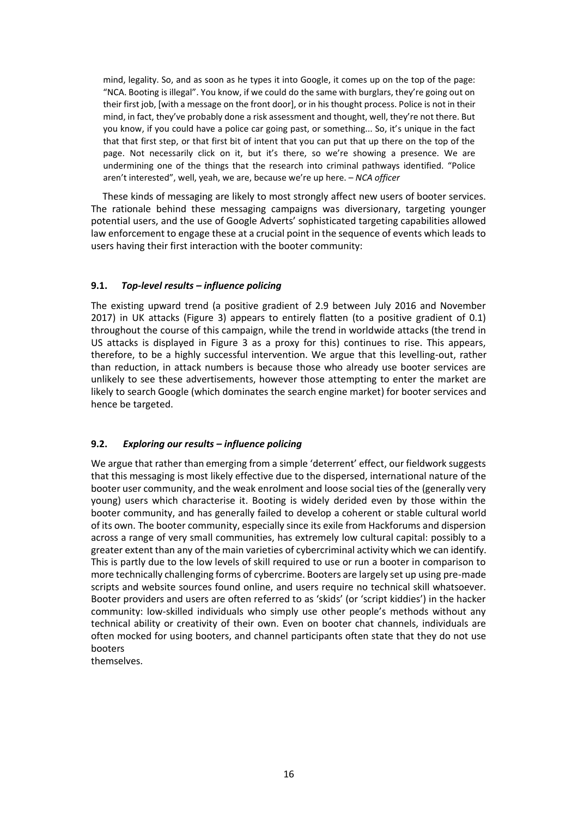mind, legality. So, and as soon as he types it into Google, it comes up on the top of the page: "NCA. Booting is illegal". You know, if we could do the same with burglars, they're going out on their first job, [with a message on the front door], or in his thought process. Police is not in their mind, in fact, they've probably done a risk assessment and thought, well, they're not there. But you know, if you could have a police car going past, or something... So, it's unique in the fact that that first step, or that first bit of intent that you can put that up there on the top of the page. Not necessarily click on it, but it's there, so we're showing a presence. We are undermining one of the things that the research into criminal pathways identified. "Police aren't interested", well, yeah, we are, because we're up here. – *NCA officer*

These kinds of messaging are likely to most strongly affect new users of booter services. The rationale behind these messaging campaigns was diversionary, targeting younger potential users, and the use of Google Adverts' sophisticated targeting capabilities allowed law enforcement to engage these at a crucial point in the sequence of events which leads to users having their first interaction with the booter community:

# **9.1.** *Top-level results – influence policing*

The existing upward trend (a positive gradient of 2.9 between July 2016 and November 2017) in UK attacks (Figure 3) appears to entirely flatten (to a positive gradient of 0.1) throughout the course of this campaign, while the trend in worldwide attacks (the trend in US attacks is displayed in Figure 3 as a proxy for this) continues to rise. This appears, therefore, to be a highly successful intervention. We argue that this levelling-out, rather than reduction, in attack numbers is because those who already use booter services are unlikely to see these advertisements, however those attempting to enter the market are likely to search Google (which dominates the search engine market) for booter services and hence be targeted.

# **9.2.** *Exploring our results – influence policing*

We argue that rather than emerging from a simple 'deterrent' effect, our fieldwork suggests that this messaging is most likely effective due to the dispersed, international nature of the booter user community, and the weak enrolment and loose social ties of the (generally very young) users which characterise it. Booting is widely derided even by those within the booter community, and has generally failed to develop a coherent or stable cultural world of its own. The booter community, especially since its exile from Hackforums and dispersion across a range of very small communities, has extremely low cultural capital: possibly to a greater extent than any of the main varieties of cybercriminal activity which we can identify. This is partly due to the low levels of skill required to use or run a booter in comparison to more technically challenging forms of cybercrime. Booters are largely set up using pre-made scripts and website sources found online, and users require no technical skill whatsoever. Booter providers and users are often referred to as 'skids' (or 'script kiddies') in the hacker community: low-skilled individuals who simply use other people's methods without any technical ability or creativity of their own. Even on booter chat channels, individuals are often mocked for using booters, and channel participants often state that they do not use booters

themselves.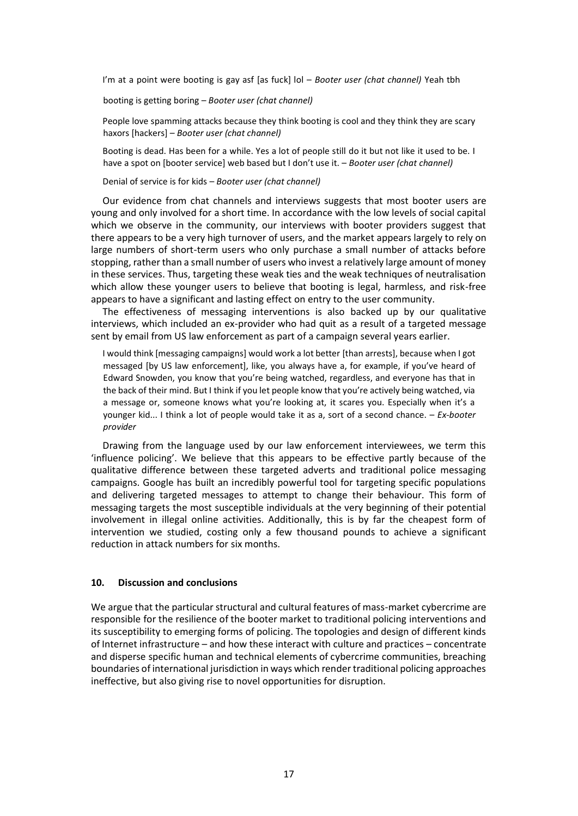I'm at a point were booting is gay asf [as fuck] lol – *Booter user (chat channel)* Yeah tbh

booting is getting boring – *Booter user (chat channel)*

People love spamming attacks because they think booting is cool and they think they are scary haxors [hackers] – *Booter user (chat channel)*

Booting is dead. Has been for a while. Yes a lot of people still do it but not like it used to be. I have a spot on [booter service] web based but I don't use it. – *Booter user (chat channel)*

Denial of service is for kids – *Booter user (chat channel)*

Our evidence from chat channels and interviews suggests that most booter users are young and only involved for a short time. In accordance with the low levels of social capital which we observe in the community, our interviews with booter providers suggest that there appears to be a very high turnover of users, and the market appears largely to rely on large numbers of short-term users who only purchase a small number of attacks before stopping, rather than a small number of users who invest a relatively large amount of money in these services. Thus, targeting these weak ties and the weak techniques of neutralisation which allow these younger users to believe that booting is legal, harmless, and risk-free appears to have a significant and lasting effect on entry to the user community.

The effectiveness of messaging interventions is also backed up by our qualitative interviews, which included an ex-provider who had quit as a result of a targeted message sent by email from US law enforcement as part of a campaign several years earlier.

I would think [messaging campaigns] would work a lot better [than arrests], because when I got messaged [by US law enforcement], like, you always have a, for example, if you've heard of Edward Snowden, you know that you're being watched, regardless, and everyone has that in the back of their mind. But I think if you let people know that you're actively being watched, via a message or, someone knows what you're looking at, it scares you. Especially when it's a younger kid... I think a lot of people would take it as a, sort of a second chance. – *Ex-booter provider*

Drawing from the language used by our law enforcement interviewees, we term this 'influence policing'. We believe that this appears to be effective partly because of the qualitative difference between these targeted adverts and traditional police messaging campaigns. Google has built an incredibly powerful tool for targeting specific populations and delivering targeted messages to attempt to change their behaviour. This form of messaging targets the most susceptible individuals at the very beginning of their potential involvement in illegal online activities. Additionally, this is by far the cheapest form of intervention we studied, costing only a few thousand pounds to achieve a significant reduction in attack numbers for six months.

#### **10. Discussion and conclusions**

We argue that the particular structural and cultural features of mass-market cybercrime are responsible for the resilience of the booter market to traditional policing interventions and its susceptibility to emerging forms of policing. The topologies and design of different kinds of Internet infrastructure – and how these interact with culture and practices – concentrate and disperse specific human and technical elements of cybercrime communities, breaching boundaries of international jurisdiction in ways which render traditional policing approaches ineffective, but also giving rise to novel opportunities for disruption.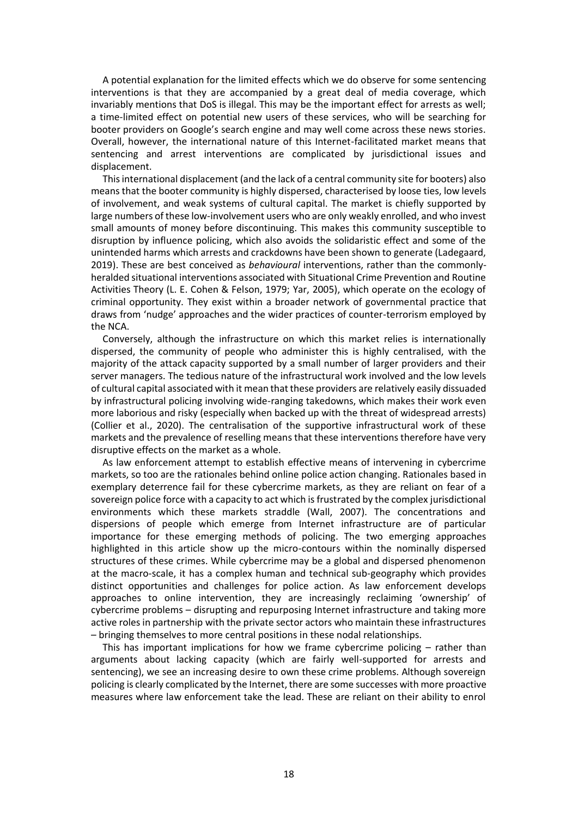A potential explanation for the limited effects which we do observe for some sentencing interventions is that they are accompanied by a great deal of media coverage, which invariably mentions that DoS is illegal. This may be the important effect for arrests as well; a time-limited effect on potential new users of these services, who will be searching for booter providers on Google's search engine and may well come across these news stories. Overall, however, the international nature of this Internet-facilitated market means that sentencing and arrest interventions are complicated by jurisdictional issues and displacement.

This international displacement (and the lack of a central community site for booters) also means that the booter community is highly dispersed, characterised by loose ties, low levels of involvement, and weak systems of cultural capital. The market is chiefly supported by large numbers of these low-involvement users who are only weakly enrolled, and who invest small amounts of money before discontinuing. This makes this community susceptible to disruption by influence policing, which also avoids the solidaristic effect and some of the unintended harms which arrests and crackdowns have been shown to generate (Ladegaard, 2019). These are best conceived as *behavioural* interventions, rather than the commonlyheralded situational interventions associated with Situational Crime Prevention and Routine Activities Theory (L. E. Cohen & Felson, 1979; Yar, 2005), which operate on the ecology of criminal opportunity. They exist within a broader network of governmental practice that draws from 'nudge' approaches and the wider practices of counter-terrorism employed by the NCA.

Conversely, although the infrastructure on which this market relies is internationally dispersed, the community of people who administer this is highly centralised, with the majority of the attack capacity supported by a small number of larger providers and their server managers. The tedious nature of the infrastructural work involved and the low levels of cultural capital associated with it mean that these providers are relatively easily dissuaded by infrastructural policing involving wide-ranging takedowns, which makes their work even more laborious and risky (especially when backed up with the threat of widespread arrests) (Collier et al., 2020). The centralisation of the supportive infrastructural work of these markets and the prevalence of reselling means that these interventions therefore have very disruptive effects on the market as a whole.

As law enforcement attempt to establish effective means of intervening in cybercrime markets, so too are the rationales behind online police action changing. Rationales based in exemplary deterrence fail for these cybercrime markets, as they are reliant on fear of a sovereign police force with a capacity to act which is frustrated by the complex jurisdictional environments which these markets straddle (Wall, 2007). The concentrations and dispersions of people which emerge from Internet infrastructure are of particular importance for these emerging methods of policing. The two emerging approaches highlighted in this article show up the micro-contours within the nominally dispersed structures of these crimes. While cybercrime may be a global and dispersed phenomenon at the macro-scale, it has a complex human and technical sub-geography which provides distinct opportunities and challenges for police action. As law enforcement develops approaches to online intervention, they are increasingly reclaiming 'ownership' of cybercrime problems – disrupting and repurposing Internet infrastructure and taking more active roles in partnership with the private sector actors who maintain these infrastructures – bringing themselves to more central positions in these nodal relationships.

This has important implications for how we frame cybercrime policing  $-$  rather than arguments about lacking capacity (which are fairly well-supported for arrests and sentencing), we see an increasing desire to own these crime problems. Although sovereign policing is clearly complicated by the Internet, there are some successes with more proactive measures where law enforcement take the lead. These are reliant on their ability to enrol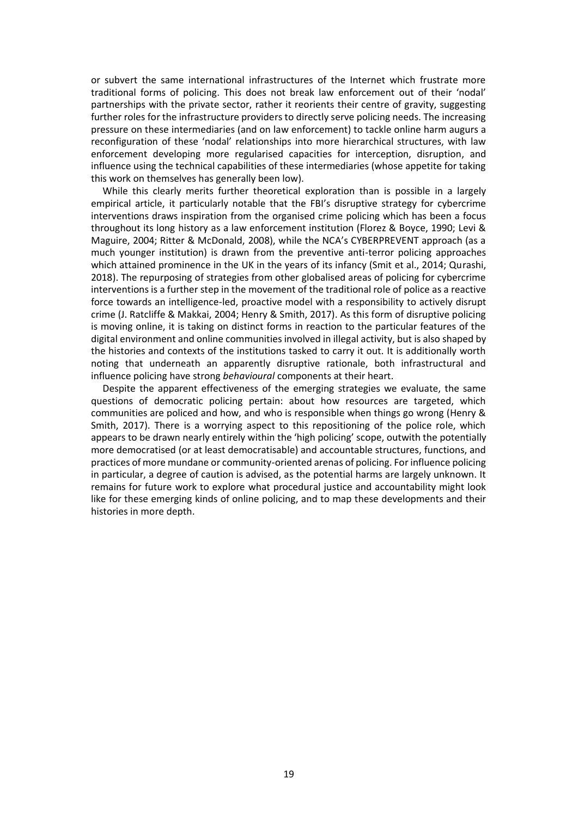or subvert the same international infrastructures of the Internet which frustrate more traditional forms of policing. This does not break law enforcement out of their 'nodal' partnerships with the private sector, rather it reorients their centre of gravity, suggesting further roles for the infrastructure providers to directly serve policing needs. The increasing pressure on these intermediaries (and on law enforcement) to tackle online harm augurs a reconfiguration of these 'nodal' relationships into more hierarchical structures, with law enforcement developing more regularised capacities for interception, disruption, and influence using the technical capabilities of these intermediaries (whose appetite for taking this work on themselves has generally been low).

While this clearly merits further theoretical exploration than is possible in a largely empirical article, it particularly notable that the FBI's disruptive strategy for cybercrime interventions draws inspiration from the organised crime policing which has been a focus throughout its long history as a law enforcement institution (Florez & Boyce, 1990; Levi & Maguire, 2004; Ritter & McDonald, 2008), while the NCA's CYBERPREVENT approach (as a much younger institution) is drawn from the preventive anti-terror policing approaches which attained prominence in the UK in the years of its infancy (Smit et al., 2014; Qurashi, 2018). The repurposing of strategies from other globalised areas of policing for cybercrime interventions is a further step in the movement of the traditional role of police as a reactive force towards an intelligence-led, proactive model with a responsibility to actively disrupt crime (J. Ratcliffe & Makkai, 2004; Henry & Smith, 2017). As this form of disruptive policing is moving online, it is taking on distinct forms in reaction to the particular features of the digital environment and online communities involved in illegal activity, but is also shaped by the histories and contexts of the institutions tasked to carry it out. It is additionally worth noting that underneath an apparently disruptive rationale, both infrastructural and influence policing have strong *behavioural* components at their heart.

Despite the apparent effectiveness of the emerging strategies we evaluate, the same questions of democratic policing pertain: about how resources are targeted, which communities are policed and how, and who is responsible when things go wrong (Henry & Smith, 2017). There is a worrying aspect to this repositioning of the police role, which appears to be drawn nearly entirely within the 'high policing' scope, outwith the potentially more democratised (or at least democratisable) and accountable structures, functions, and practices of more mundane or community-oriented arenas of policing. For influence policing in particular, a degree of caution is advised, as the potential harms are largely unknown. It remains for future work to explore what procedural justice and accountability might look like for these emerging kinds of online policing, and to map these developments and their histories in more depth.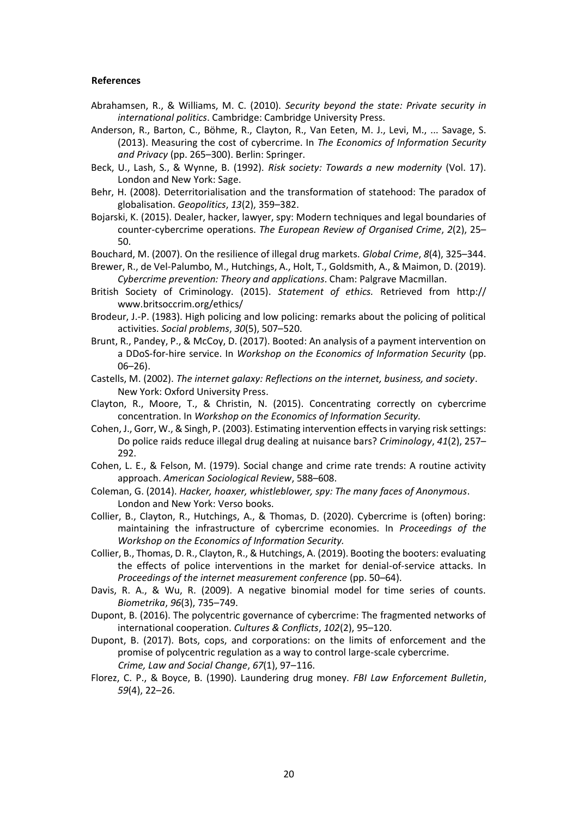#### **References**

- Abrahamsen, R., & Williams, M. C. (2010). *Security beyond the state: Private security in international politics*. Cambridge: Cambridge University Press.
- Anderson, R., Barton, C., Böhme, R., Clayton, R., Van Eeten, M. J., Levi, M., ... Savage, S. (2013). Measuring the cost of cybercrime. In *The Economics of Information Security and Privacy* (pp. 265–300). Berlin: Springer.
- Beck, U., Lash, S., & Wynne, B. (1992). *Risk society: Towards a new modernity* (Vol. 17). London and New York: Sage.
- Behr, H. (2008). Deterritorialisation and the transformation of statehood: The paradox of globalisation. *Geopolitics*, *13*(2), 359–382.
- Bojarski, K. (2015). Dealer, hacker, lawyer, spy: Modern techniques and legal boundaries of counter-cybercrime operations. *The European Review of Organised Crime*, *2*(2), 25– 50.
- Bouchard, M. (2007). On the resilience of illegal drug markets. *Global Crime*, *8*(4), 325–344.
- Brewer, R., de Vel-Palumbo, M., Hutchings, A., Holt, T., Goldsmith, A., & Maimon, D. (2019). *Cybercrime prevention: Theory and applications*. Cham: Palgrave Macmillan.
- British Society of Criminology. (2015). *Statement of ethics.* Retrieved from [http://](http://www.britsoccrim.org/ethics/)  [www.britsoccrim.org/ethics/](http://www.britsoccrim.org/ethics/)
- Brodeur, J.-P. (1983). High policing and low policing: remarks about the policing of political activities. *Social problems*, *30*(5), 507–520.
- Brunt, R., Pandey, P., & McCoy, D. (2017). Booted: An analysis of a payment intervention on a DDoS-for-hire service. In *Workshop on the Economics of Information Security* (pp. 06–26).
- Castells, M. (2002). *The internet galaxy: Reflections on the internet, business, and society*. New York: Oxford University Press.
- Clayton, R., Moore, T., & Christin, N. (2015). Concentrating correctly on cybercrime concentration. In *Workshop on the Economics of Information Security.*
- Cohen, J., Gorr, W., & Singh, P. (2003). Estimating intervention effects in varying risk settings: Do police raids reduce illegal drug dealing at nuisance bars? *Criminology*, *41*(2), 257– 292.
- Cohen, L. E., & Felson, M. (1979). Social change and crime rate trends: A routine activity approach. *American Sociological Review*, 588–608.
- Coleman, G. (2014). *Hacker, hoaxer, whistleblower, spy: The many faces of Anonymous*. London and New York: Verso books.
- Collier, B., Clayton, R., Hutchings, A., & Thomas, D. (2020). Cybercrime is (often) boring: maintaining the infrastructure of cybercrime economies. In *Proceedings of the Workshop on the Economics of Information Security.*
- Collier, B., Thomas, D. R., Clayton, R., & Hutchings, A. (2019). Booting the booters: evaluating the effects of police interventions in the market for denial-of-service attacks. In *Proceedings of the internet measurement conference* (pp. 50–64).
- Davis, R. A., & Wu, R. (2009). A negative binomial model for time series of counts. *Biometrika*, *96*(3), 735–749.
- Dupont, B. (2016). The polycentric governance of cybercrime: The fragmented networks of international cooperation. *Cultures & Conflicts*, *102*(2), 95–120.
- Dupont, B. (2017). Bots, cops, and corporations: on the limits of enforcement and the promise of polycentric regulation as a way to control large-scale cybercrime. *Crime, Law and Social Change*, *67*(1), 97–116.
- Florez, C. P., & Boyce, B. (1990). Laundering drug money. *FBI Law Enforcement Bulletin*, *59*(4), 22–26.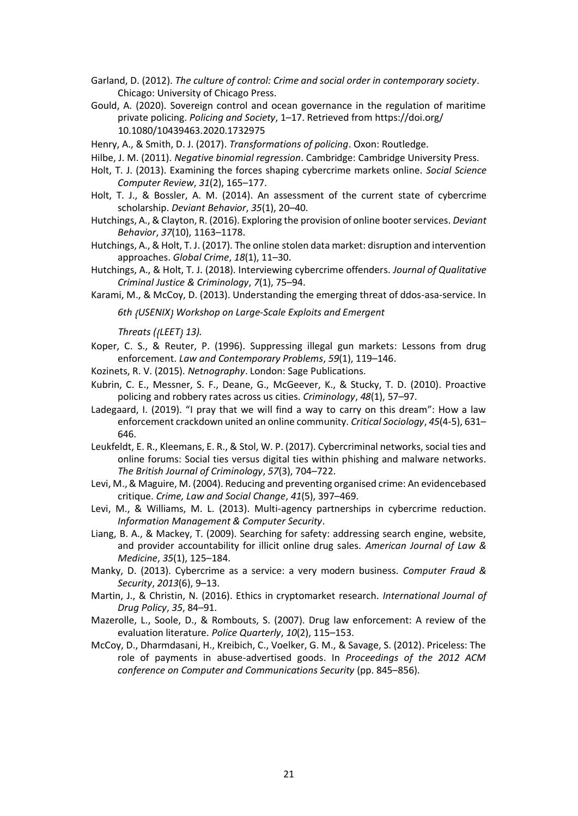Garland, D. (2012). *The culture of control: Crime and social order in contemporary society*. Chicago: University of Chicago Press.

- Gould, A. (2020). Sovereign control and ocean governance in the regulation of maritime private policing. *Policing and Society*, 1–17. Retrieved from [https://doi.org/](https://doi.org/10.1080/10439463.2020.1732975) [10.1080/10439463.2020.1732975](https://doi.org/10.1080/10439463.2020.1732975)
- Henry, A., & Smith, D. J. (2017). *Transformations of policing*. Oxon: Routledge.
- Hilbe, J. M. (2011). *Negative binomial regression*. Cambridge: Cambridge University Press.
- Holt, T. J. (2013). Examining the forces shaping cybercrime markets online. *Social Science Computer Review*, *31*(2), 165–177.
- Holt, T. J., & Bossler, A. M. (2014). An assessment of the current state of cybercrime scholarship. *Deviant Behavior*, *35*(1), 20–40.
- Hutchings, A., & Clayton, R. (2016). Exploring the provision of online booter services. *Deviant Behavior*, *37*(10), 1163–1178.
- Hutchings, A., & Holt, T. J. (2017). The online stolen data market: disruption and intervention approaches. *Global Crime*, *18*(1), 11–30.
- Hutchings, A., & Holt, T. J. (2018). Interviewing cybercrime offenders. *Journal of Qualitative Criminal Justice & Criminology*, *7*(1), 75–94.

Karami, M., & McCoy, D. (2013). Understanding the emerging threat of ddos-asa-service. In

*6th {USENIX} Workshop on Large-Scale Exploits and Emergent*

*Threats ({LEET} 13).*

- Koper, C. S., & Reuter, P. (1996). Suppressing illegal gun markets: Lessons from drug enforcement. *Law and Contemporary Problems*, *59*(1), 119–146.
- Kozinets, R. V. (2015). *Netnography*. London: Sage Publications.
- Kubrin, C. E., Messner, S. F., Deane, G., McGeever, K., & Stucky, T. D. (2010). Proactive policing and robbery rates across us cities. *Criminology*, *48*(1), 57–97.
- Ladegaard, I. (2019). "I pray that we will find a way to carry on this dream": How a law enforcement crackdown united an online community. *Critical Sociology*, *45*(4-5), 631– 646.
- Leukfeldt, E. R., Kleemans, E. R., & Stol, W. P. (2017). Cybercriminal networks, social ties and online forums: Social ties versus digital ties within phishing and malware networks. *The British Journal of Criminology*, *57*(3), 704–722.
- Levi, M., & Maguire, M. (2004). Reducing and preventing organised crime: An evidencebased critique. *Crime, Law and Social Change*, *41*(5), 397–469.
- Levi, M., & Williams, M. L. (2013). Multi-agency partnerships in cybercrime reduction. *Information Management & Computer Security*.
- Liang, B. A., & Mackey, T. (2009). Searching for safety: addressing search engine, website, and provider accountability for illicit online drug sales. *American Journal of Law & Medicine*, *35*(1), 125–184.
- Manky, D. (2013). Cybercrime as a service: a very modern business. *Computer Fraud & Security*, *2013*(6), 9–13.
- Martin, J., & Christin, N. (2016). Ethics in cryptomarket research. *International Journal of Drug Policy*, *35*, 84–91.
- Mazerolle, L., Soole, D., & Rombouts, S. (2007). Drug law enforcement: A review of the evaluation literature. *Police Quarterly*, *10*(2), 115–153.
- McCoy, D., Dharmdasani, H., Kreibich, C., Voelker, G. M., & Savage, S. (2012). Priceless: The role of payments in abuse-advertised goods. In *Proceedings of the 2012 ACM conference on Computer and Communications Security* (pp. 845–856).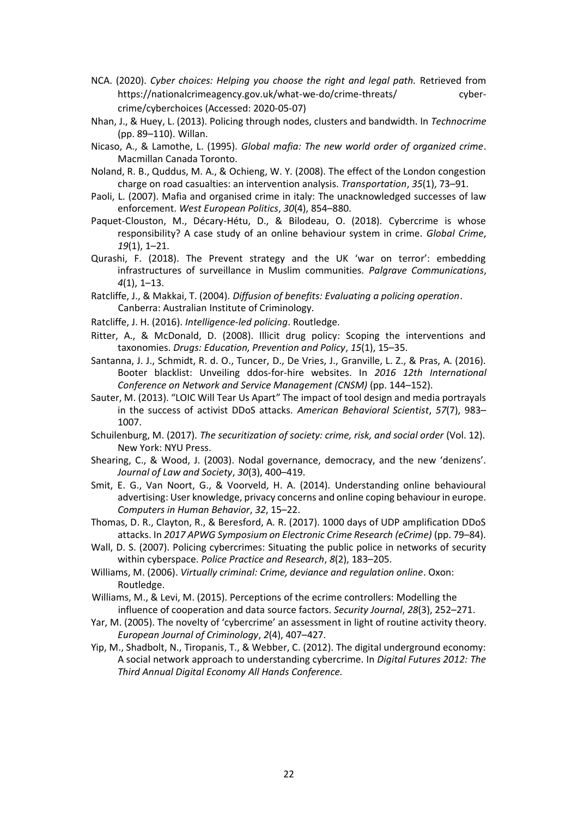- NCA. (2020). *Cyber choices: Helping you choose the right and legal path.* Retrieved from [https://nationalcrimeagency.gov.uk/what-we-do/crime-threats/ cyber](https://nationalcrimeagency.gov.uk/what-we-do/crime-threats/cyber-crime/cyberchoices)[crime/cyberchoices](https://nationalcrimeagency.gov.uk/what-we-do/crime-threats/cyber-crime/cyberchoices) (Accessed: 2020-05-07)
- Nhan, J., & Huey, L. (2013). Policing through nodes, clusters and bandwidth. In *Technocrime*  (pp. 89–110). Willan.
- Nicaso, A., & Lamothe, L. (1995). *Global mafia: The new world order of organized crime*. Macmillan Canada Toronto.
- Noland, R. B., Quddus, M. A., & Ochieng, W. Y. (2008). The effect of the London congestion charge on road casualties: an intervention analysis. *Transportation*, *35*(1), 73–91.
- Paoli, L. (2007). Mafia and organised crime in italy: The unacknowledged successes of law enforcement. *West European Politics*, *30*(4), 854–880.
- Paquet-Clouston, M., Décary-Hétu, D., & Bilodeau, O. (2018). Cybercrime is whose responsibility? A case study of an online behaviour system in crime. *Global Crime*, *19*(1), 1–21.
- Qurashi, F. (2018). The Prevent strategy and the UK 'war on terror': embedding infrastructures of surveillance in Muslim communities. *Palgrave Communications*, *4*(1), 1–13.
- Ratcliffe, J., & Makkai, T. (2004). *Diffusion of benefits: Evaluating a policing operation*. Canberra: Australian Institute of Criminology.
- Ratcliffe, J. H. (2016). *Intelligence-led policing*. Routledge.
- Ritter, A., & McDonald, D. (2008). Illicit drug policy: Scoping the interventions and taxonomies. *Drugs: Education, Prevention and Policy*, *15*(1), 15–35.
- Santanna, J. J., Schmidt, R. d. O., Tuncer, D., De Vries, J., Granville, L. Z., & Pras, A. (2016). Booter blacklist: Unveiling ddos-for-hire websites. In *2016 12th International Conference on Network and Service Management (CNSM)* (pp. 144–152).
- Sauter, M. (2013). "LOIC Will Tear Us Apart" The impact of tool design and media portrayals in the success of activist DDoS attacks. *American Behavioral Scientist*, *57*(7), 983– 1007.
- Schuilenburg, M. (2017). *The securitization of society: crime, risk, and social order* (Vol. 12). New York: NYU Press.
- Shearing, C., & Wood, J. (2003). Nodal governance, democracy, and the new 'denizens'. *Journal of Law and Society*, *30*(3), 400–419.
- Smit, E. G., Van Noort, G., & Voorveld, H. A. (2014). Understanding online behavioural advertising: User knowledge, privacy concerns and online coping behaviour in europe. *Computers in Human Behavior*, *32*, 15–22.
- Thomas, D. R., Clayton, R., & Beresford, A. R. (2017). 1000 days of UDP amplification DDoS attacks. In 2017 APWG Symposium on Electronic Crime Research (eCrime) (pp. 79-84).
- Wall, D. S. (2007). Policing cybercrimes: Situating the public police in networks of security within cyberspace. *Police Practice and Research*, *8*(2), 183–205.
- Williams, M. (2006). *Virtually criminal: Crime, deviance and regulation online*. Oxon: Routledge.
- Williams, M., & Levi, M. (2015). Perceptions of the ecrime controllers: Modelling the influence of cooperation and data source factors. *Security Journal*, *28*(3), 252–271.
- Yar, M. (2005). The novelty of 'cybercrime' an assessment in light of routine activity theory. *European Journal of Criminology*, *2*(4), 407–427.
- Yip, M., Shadbolt, N., Tiropanis, T., & Webber, C. (2012). The digital underground economy: A social network approach to understanding cybercrime. In *Digital Futures 2012: The Third Annual Digital Economy All Hands Conference.*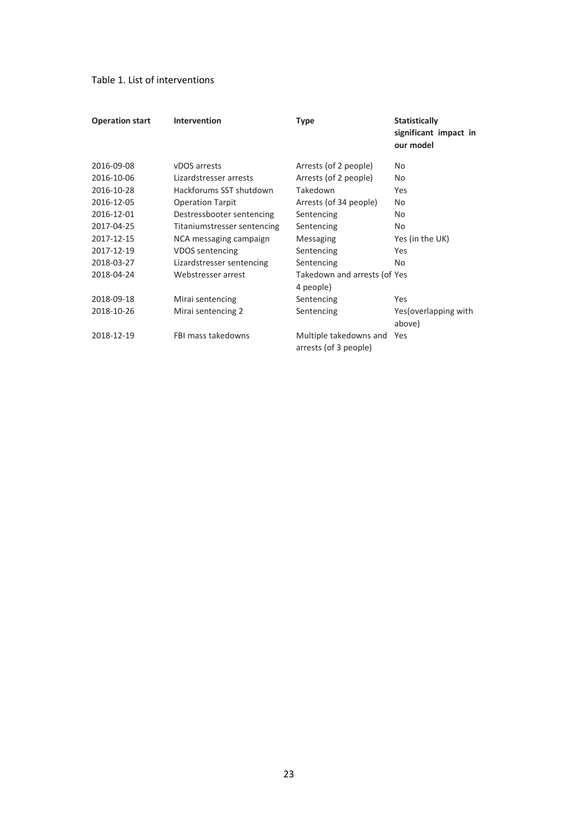# Table 1. List of interventions

| <b>Operation start</b> | Intervention                | Type                                            | <b>Statistically</b><br>significant impact in<br>our model |
|------------------------|-----------------------------|-------------------------------------------------|------------------------------------------------------------|
| 2016-09-08             | vDOS arrests                | Arrests (of 2 people)                           | No                                                         |
| 2016-10-06             | Lizardstresser arrests      | Arrests (of 2 people)                           | No                                                         |
| 2016-10-28             | Hackforums SST shutdown     | Takedown                                        | Yes                                                        |
| 2016-12-05             | <b>Operation Tarpit</b>     | Arrests (of 34 people)                          | No                                                         |
| 2016-12-01             | Destressbooter sentencing   | Sentencing                                      | No                                                         |
| 2017-04-25             | Titaniumstresser sentencing | Sentencing                                      | No                                                         |
| 2017-12-15             | NCA messaging campaign      | Messaging                                       | Yes (in the UK)                                            |
| 2017-12-19             | VDOS sentencing             | Sentencing                                      | Yes                                                        |
| 2018-03-27             | Lizardstresser sentencing   | Sentencing                                      | No                                                         |
| 2018-04-24             | Webstresser arrest          | Takedown and arrests (of Yes<br>4 people)       |                                                            |
| 2018-09-18             | Mirai sentencing            | Sentencing                                      | Yes                                                        |
| 2018-10-26             | Mirai sentencing 2          | Sentencing                                      | Yes (overlapping with<br>above)                            |
| 2018-12-19             | FBI mass takedowns          | Multiple takedowns and<br>arrests (of 3 people) | Yes                                                        |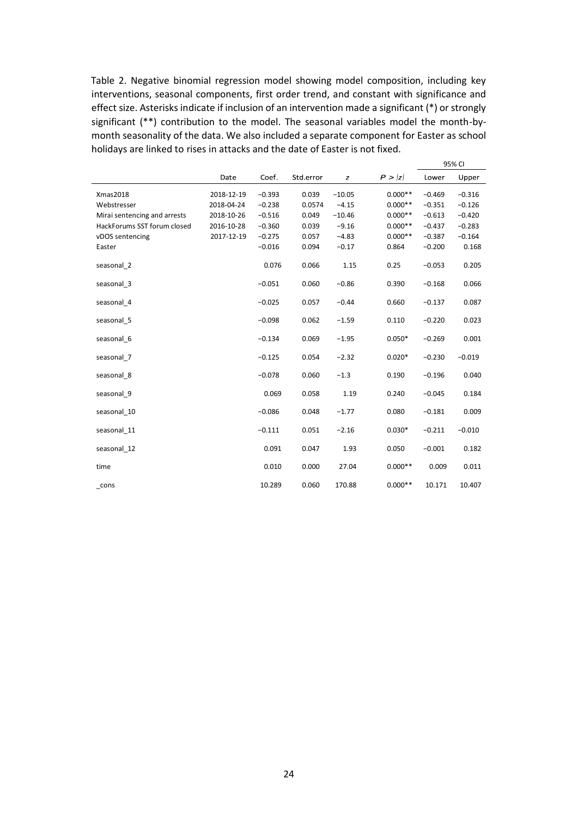Table 2. Negative binomial regression model showing model composition, including key interventions, seasonal components, first order trend, and constant with significance and effect size. Asterisks indicate if inclusion of an intervention made a significant (\*) or strongly significant (\*\*) contribution to the model. The seasonal variables model the month-bymonth seasonality of the data. We also included a separate component for Easter as school holidays are linked to rises in attacks and the date of Easter is not fixed.

 $95%$ 

|                              |            |          |           |          |           |          | <b>JJ70 UI</b> |  |
|------------------------------|------------|----------|-----------|----------|-----------|----------|----------------|--|
|                              | Date       | Coef.    | Std.error | z        | P >  z    | Lower    | Upper          |  |
| Xmas2018                     | 2018-12-19 | $-0.393$ | 0.039     | $-10.05$ | $0.000**$ | $-0.469$ | $-0.316$       |  |
| Webstresser                  | 2018-04-24 | $-0.238$ | 0.0574    | $-4.15$  | $0.000**$ | $-0.351$ | $-0.126$       |  |
| Mirai sentencing and arrests | 2018-10-26 | $-0.516$ | 0.049     | $-10.46$ | $0.000**$ | $-0.613$ | $-0.420$       |  |
| HackForums SST forum closed  | 2016-10-28 | $-0.360$ | 0.039     | $-9.16$  | $0.000**$ | $-0.437$ | $-0.283$       |  |
| vDOS sentencing              | 2017-12-19 | $-0.275$ | 0.057     | $-4.83$  | $0.000**$ | $-0.387$ | $-0.164$       |  |
| Easter                       |            | $-0.016$ | 0.094     | $-0.17$  | 0.864     | $-0.200$ | 0.168          |  |
| seasonal 2                   |            | 0.076    | 0.066     | 1.15     | 0.25      | $-0.053$ | 0.205          |  |
| seasonal 3                   |            | $-0.051$ | 0.060     | $-0.86$  | 0.390     | $-0.168$ | 0.066          |  |
| seasonal 4                   |            | $-0.025$ | 0.057     | $-0.44$  | 0.660     | $-0.137$ | 0.087          |  |
| seasonal 5                   |            | $-0.098$ | 0.062     | $-1.59$  | 0.110     | $-0.220$ | 0.023          |  |
| seasonal 6                   |            | $-0.134$ | 0.069     | $-1.95$  | $0.050*$  | $-0.269$ | 0.001          |  |
| seasonal 7                   |            | $-0.125$ | 0.054     | $-2.32$  | $0.020*$  | $-0.230$ | $-0.019$       |  |
| seasonal 8                   |            | $-0.078$ | 0.060     | $-1.3$   | 0.190     | $-0.196$ | 0.040          |  |
| seasonal 9                   |            | 0.069    | 0.058     | 1.19     | 0.240     | $-0.045$ | 0.184          |  |
| seasonal_10                  |            | $-0.086$ | 0.048     | $-1.77$  | 0.080     | $-0.181$ | 0.009          |  |
| seasonal 11                  |            | $-0.111$ | 0.051     | $-2.16$  | $0.030*$  | $-0.211$ | $-0.010$       |  |
| seasonal 12                  |            | 0.091    | 0.047     | 1.93     | 0.050     | $-0.001$ | 0.182          |  |
| time                         |            | 0.010    | 0.000     | 27.04    | $0.000**$ | 0.009    | 0.011          |  |
| cons                         |            | 10.289   | 0.060     | 170.88   | $0.000**$ | 10.171   | 10.407         |  |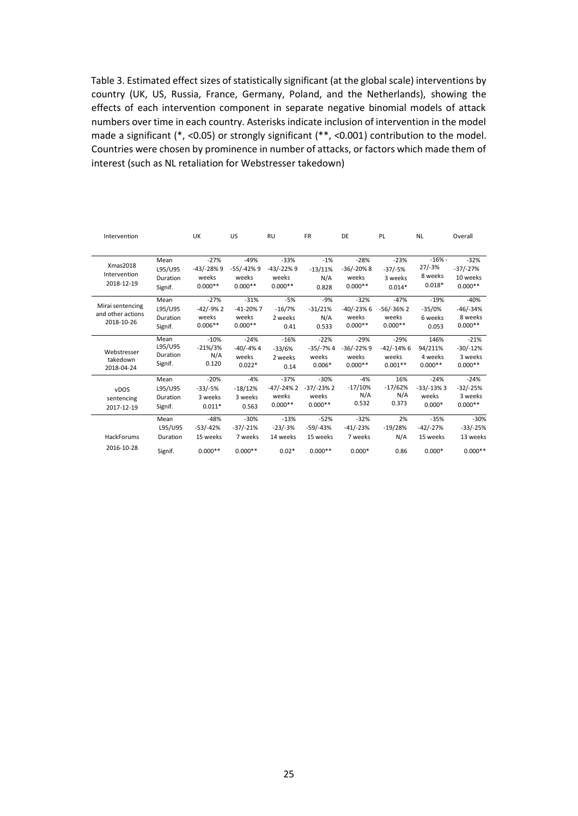Table 3. Estimated effect sizes of statistically significant (at the global scale) interventions by country (UK, US, Russia, France, Germany, Poland, and the Netherlands), showing the effects of each intervention component in separate negative binomial models of attack numbers over time in each country. Asterisks indicate inclusion of intervention in the model made a significant (\*, <0.05) or strongly significant (\*\*, <0.001) contribution to the model. Countries were chosen by prominence in number of attacks, or factors which made them of interest (such as NL retaliation for Webstresser takedown)

| Intervention                                        |                                        | UK                                           | US                                          | <b>RU</b>                                    | <b>FR</b>                                   | DE                                           | PL                                          | <b>NL</b>                                   | Overall                                       |
|-----------------------------------------------------|----------------------------------------|----------------------------------------------|---------------------------------------------|----------------------------------------------|---------------------------------------------|----------------------------------------------|---------------------------------------------|---------------------------------------------|-----------------------------------------------|
| Xmas2018<br>Intervention<br>2018-12-19              | Mean<br>L95/U95<br>Duration<br>Signif. | $-27%$<br>$-43/ -28%9$<br>weeks<br>$0.000**$ | $-49%$<br>$-55/-42%9$<br>weeks<br>$0.000**$ | $-33%$<br>$-43/ -22%9$<br>weeks<br>$0.000**$ | $-1%$<br>$-13/11%$<br>N/A<br>0.828          | $-28%$<br>$-36/-20\%8$<br>weeks<br>$0.000**$ | $-23%$<br>$-37/-5%$<br>3 weeks<br>$0.014*$  | $-16% -$<br>$27/-3%$<br>8 weeks<br>$0.018*$ | $-32%$<br>$-37/-27%$<br>10 weeks<br>$0.000**$ |
| Mirai sentencing<br>and other actions<br>2018-10-26 | Mean<br>L95/U95<br>Duration<br>Signif. | $-27%$<br>$-42/-9%2$<br>weeks<br>$0.006**$   | $-31%$<br>$-41-20%7$<br>weeks<br>$0.000**$  | $-5%$<br>$-16/7%$<br>2 weeks<br>0.41         | $-9%$<br>$-31/21%$<br>N/A<br>0.533          | $-32%$<br>$-40/-23%6$<br>weeks<br>$0.000**$  | $-47%$<br>$-56/-36%2$<br>weeks<br>$0.000**$ | $-19%$<br>$-35/0%$<br>6 weeks<br>0.053      | $-40%$<br>$-46/-34%$<br>8 weeks<br>$0.000**$  |
| Webstresser<br>takedown<br>2018-04-24               | Mean<br>L95/U95<br>Duration<br>Signif. | $-10%$<br>$-21\%/3\%$<br>N/A<br>0.120        | $-24%$<br>$-40/-4%4$<br>weeks<br>$0.022*$   | $-16%$<br>$-33/6%$<br>2 weeks<br>0.14        | $-22%$<br>$-35/-7%4$<br>weeks<br>$0.006*$   | $-29%$<br>$-36/-22%9$<br>weeks<br>$0.000**$  | $-29%$<br>$-42/-14%6$<br>weeks<br>$0.001**$ | 146%<br>94/211%<br>4 weeks<br>$0.000**$     | $-21%$<br>$-30/-12%$<br>3 weeks<br>$0.000**$  |
| vDOS<br>sentencing<br>2017-12-19                    | Mean<br>L95/U95<br>Duration<br>Signif. | $-20%$<br>$-33/-5%$<br>3 weeks<br>$0.011*$   | $-4%$<br>$-18/12%$<br>3 weeks<br>0.563      | $-37%$<br>-47/-24% 2<br>weeks<br>$0.000**$   | $-30%$<br>$-37/-23%2$<br>weeks<br>$0.000**$ | $-4%$<br>$-17/10%$<br>N/A<br>0.532           | 16%<br>$-17/62%$<br>N/A<br>0.373            | $-24%$<br>$-33/-13%3$<br>weeks<br>$0.000*$  | $-24%$<br>$-32/-25%$<br>3 weeks<br>$0.000**$  |
| HackForums<br>2016-10-28                            | Mean<br>L95/U95<br>Duration            | $-48%$<br>$-53/ -42%$<br>15 weeks            | $-30%$<br>$-37/-21%$<br>7 weeks             | $-13%$<br>$-23/-3%$<br>14 weeks              | $-52%$<br>$-59/-43%$<br>15 weeks            | $-32%$<br>$-41/-23%$<br>7 weeks              | 2%<br>$-19/28%$<br>N/A                      | $-35%$<br>$-42/-27%$<br>15 weeks            | $-30%$<br>$-33/-25%$<br>13 weeks              |
|                                                     | Signif.                                | $0.000**$                                    | $0.000**$                                   | $0.02*$                                      | $0.000**$                                   | $0.000*$                                     | 0.86                                        | $0.000*$                                    | $0.000**$                                     |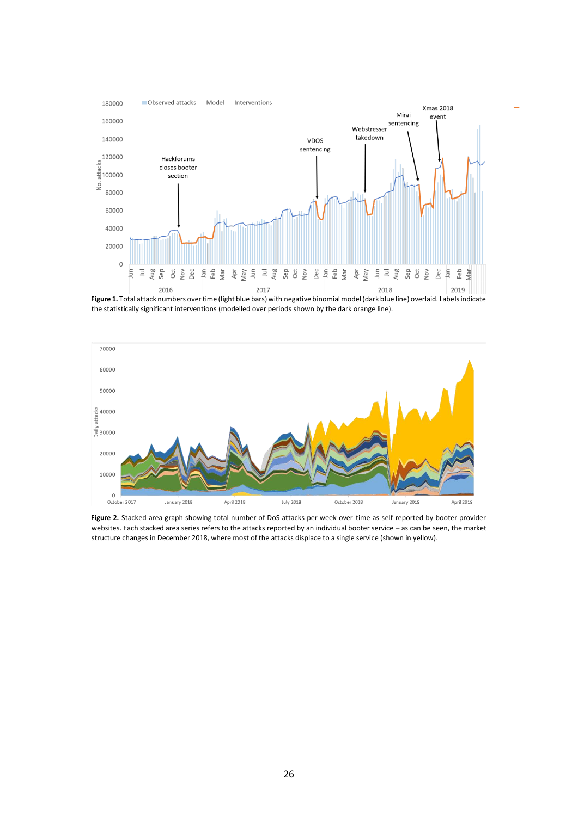

**Figure 1.** Total attack numbers over time (light blue bars) with negative binomial model (dark blue line) overlaid. Labels indicate the statistically significant interventions (modelled over periods shown by the dark orange line).



**Figure 2.** Stacked area graph showing total number of DoS attacks per week over time as self-reported by booter provider websites. Each stacked area series refers to the attacks reported by an individual booter service – as can be seen, the market structure changes in December 2018, where most of the attacks displace to a single service (shown in yellow).